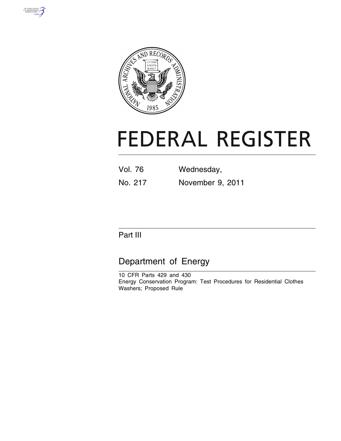



# **FEDERAL REGISTER**

| <b>Vol. 76</b> | Wednesday,       |
|----------------|------------------|
| No. 217        | November 9, 2011 |

# Part III

# Department of Energy

10 CFR Parts 429 and 430 Energy Conservation Program: Test Procedures for Residential Clothes Washers; Proposed Rule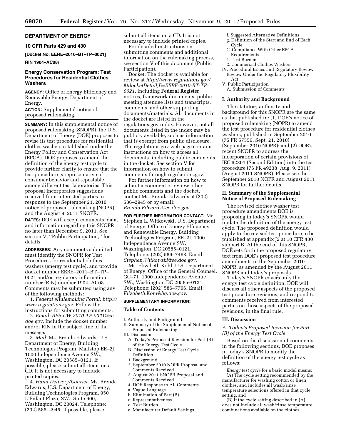# **DEPARTMENT OF ENERGY**

# **10 CFR Parts 429 and 430**

**[Docket No. EERE–2010–BT–TP–0021] RIN 1904–AC08r** 

# **Energy Conservation Program: Test Procedures for Residential Clothes Washers**

**AGENCY:** Office of Energy Efficiency and Renewable Energy, Department of Energy.

**ACTION:** Supplemental notice of proposed rulemaking.

**SUMMARY:** In this supplemental notice of proposed rulemaking (SNOPR), the U.S. Department of Energy (DOE) proposes to revise its test procedure for residential clothes washers established under the Energy Policy and Conservation Act (EPCA). DOE proposes to amend the definition of the energy test cycle to provide further clarity to ensure that the test procedure is representative of consumer behavior and repeatable among different test laboratories. This proposal incorporates suggestions received from interested parties in response to the September 21, 2010 notice of proposed rulemaking (NOPR) and the August 9, 2011 SNOPR. **DATES:** DOE will accept comments, data, and information regarding this SNOPR no later than December 9, 2011. See section V, ''Public Participation,'' for details.

**ADDRESSES:** Any comments submitted must identify the SNOPR for Test Procedures for residential clothes washers (energy test cycle), and provide docket number EERE–2011–BT–TP– 0021 and/or regulatory information number (RIN) number 1904–AC08. Comments may be submitted using any of the following methods:

1. *Federal eRulemaking Portal: [http://](http://www.regulations.gov)  [www.regulations.gov.](http://www.regulations.gov)* Follow the instructions for submitting comments.

2. *Email: [RES-CW-2010-TP-0021@ee.](mailto:RES-CW-2010-TP-0021@ee.doe.gov) [doe.gov.](mailto:RES-CW-2010-TP-0021@ee.doe.gov)* Include the docket number and/or RIN in the subject line of the message.

3. *Mail:* Ms. Brenda Edwards, U.S. Department of Energy, Building Technologies Program, Mailstop EE–2J, 1000 Independence Avenue SW., Washington, DC 20585–0121. If possible, please submit all items on a CD. It is not necessary to include printed copies.

4. *Hand Delivery/Courier:* Ms. Brenda Edwards, U.S. Department of Energy, Building Technologies Program, 950 L'Enfant Plaza, SW., Suite 600, Washington, DC 20024. Telephone: (202) 586–2945. If possible, please

submit all items on a CD. It is not necessary to include printed copies.

For detailed instructions on submitting comments and additional information on the rulemaking process, see section V of this document (Public Participation).

Docket: The docket is available for review at *[http://www.regulations.gov/](http://www.regulations.gov/#!docketDetail;D=EERE-2010-BT-TP-0021) [#!docketDetail;D=EERE-2010-BT-TP-](http://www.regulations.gov/#!docketDetail;D=EERE-2010-BT-TP-0021)[0021,](http://www.regulations.gov/#!docketDetail;D=EERE-2010-BT-TP-0021)* including **Federal Register**  notices, framework documents, public meeting attendee lists and transcripts, comments, and other supporting documents/materials. All documents in the docket are listed in the regulations.gov index. However, not all documents listed in the index may be publicly available, such as information that is exempt from public disclosure. The regulations.gov web page contains instructions on how to access all documents, including public comments, in the docket. See section V for information on how to submit comments through regulations.gov.

For further information on how to submit a comment or review other public comments and the docket, contact Ms. Brenda Edwards at (202) 586–2945 or by email:

*[Brenda.Edwards@ee.doe.gov.](mailto:Brenda.Edwards@ee.doe.gov)* 

**FOR FURTHER INFORMATION CONTACT:** Mr. Stephen L. Witkowski, U.S. Department of Energy, Office of Energy Efficiency and Renewable Energy, Building Technologies Program, EE–2J, 1000 Independence Avenue SW., Washington, DC 20585–0121. Telephone: (202) 586–7463. Email: *[Stephen.Witkowski@ee.doe.gov.](mailto:Stephen.Witkowski@ee.doe.gov)* 

Ms. Elizabeth Kohl, U.S. Department of Energy, Office of the General Counsel, GC–71, 1000 Independence Avenue SW., Washington, DC 20585–0121. Telephone: (202) 586–7796. Email: *[Elizabeth.Kohl@hq.doe.gov.](mailto:Elizabeth.Kohl@hq.doe.gov)* 

#### **SUPPLEMENTARY INFORMATION:**

#### **Table of Contents**

I. Authority and Background

- II. Summary of the Supplemental Notice of Proposed Rulemaking
- III. Discussion
	- A. Today's Proposed Revision for Part (B) of the Energy Test Cycle
	- B. Discussion of Energy Test Cycle Definition
	- 1. Background
	- 2. September 2010 NOPR Proposal and Comments Received
	- 3. August 2011 SNOPR Proposal and Comments Received
	- 4. DOE Response to All Comments
	- a. Vague Language
	- b. Elimination of Part (B)
	- c. Representativeness
	- d. Test Burden
	- e. Manufacturer Default Settings
- f. Suggested Alternative Definitions
- g. Definition of the Start and End of Each Cycle
- C. Compliance With Other EPCA Requirements
- 1. Test Burden
- 2. Commercial Clothes Washers
- IV. Procedural Issues and Regulatory Review Review Under the Regulatory Flexibility Act
- V. Public Participation
- A. Submission of Comments

#### **I. Authority and Background**

The statutory authority and background for this SNOPR are the same as that published in: (1) DOE's notice of proposed rulemaking (NOPR) to amend the test procedure for residential clothes washers, published in September 2010 (75 FR 57556, Sept. 21, 2010) (September 2010 NOPR); and (2) DOE's recent SNOPR to address the incorporation of certain provisions of IEC 62301 (Second Edition) into the test procedure (76 FR 49238, Aug. 9, 2011) (August 2011 SNOPR). Please see the September 2010 NOPR and August 2011 SNOPR for further details.

# **II. Summary of the Supplemental Notice of Proposed Rulemaking**

The revised clothes washer test procedure amendments DOE is proposing in today's SNOPR would update the definition of the energy test cycle. The proposed definition would apply to the revised test procedure to be published at appendix J2 at 10 CFR 430 subpart B. At the end of this SNOPR, DOE sets forth the proposed regulatory text from DOE's proposed test procedure amendments in the September 2010 NOPR, as amended by the August 2011 SNOPR and today's proposals.

Today's SNOPR covers only the energy test cycle definition. DOE will discuss all other aspects of the proposed test procedure revisions, and respond to comments received from interested parties on those aspects of the proposed revisions, in the final rule.

#### **III. Discussion**

*A. Today's Proposed Revision for Part (B) of the Energy Test Cycle* 

Based on the discussion of comments in the following sections, DOE proposes in today's SNOPR to modify the definition of the energy test cycle as follows:

*Energy test cycle* for a basic model means: (A) The cycle setting recommended by the manufacturer for washing cotton or linen clothes, and includes all wash/rinse temperature selections offered in that cycle setting, and

(B) if the cycle setting described in (A) does not include all wash/rinse temperature combinations available on the clothes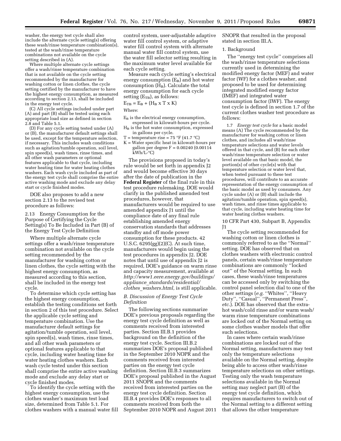washer, the energy test cycle shall also include the alternate cycle setting(s) offering these wash/rinse temperature combination(s), tested at the wash/rinse temperature combinations not available on the cycle setting described in (A).

Where multiple alternate cycle settings offer a wash/rinse temperature combination that is not available on the cycle setting recommended by the manufacturer for washing cotton or linen clothes, the cycle setting certified by the manufacturer to have the highest energy consumption, as measured according to section 2.13, shall be included in the energy test cycle.

(C) All cycle settings included under part (A) and part (B) shall be tested using each appropriate load size as defined in section 2.8 and Table 5.1.

(D) For any cycle setting tested under (A) or (B), the manufacturer default settings shall be used, except for the temperature selection, if necessary. This includes wash conditions such as agitation/tumble operation, soil level, spin speed(s), wash times, rinse times, and all other wash parameters or optional features applicable to that cycle, including water heating time for water heating clothes washers. Each wash cycle included as part of the energy test cycle shall comprise the entire active washing mode and exclude any delay start or cycle finished modes.

DOE also proposes to add a new section 2.13 to the revised test procedure as follows:

2.13 Energy Consumption for the Purpose of Certifying the Cycle Setting(s) To Be Included in Part (B) of the Energy Test Cycle Definition

Where multiple alternate cycle settings offer a wash/rinse temperature combination not available on the cycle setting recommended by the manufacturer for washing cotton or linen clothes, the cycle setting with the highest energy consumption, as measured according to this section, shall be included in the energy test cycle.

To determine which cycle setting has the highest energy consumption, establish the testing conditions set forth in section 2 of this test procedure. Select the applicable cycle setting and temperature combination. Use the manufacturer default settings for agitation/tumble operation, soil level, spin speed(s), wash times, rinse times, and all other wash parameters or optional features applicable to that cycle, including water heating time for water heating clothes washers. Each wash cycle tested under this section shall comprise the entire active washing mode and exclude any delay start or cycle finished modes.

To identify the cycle setting with the highest energy consumption, use the clothes washer's maximum test load size, determined from Table 5.1. For clothes washers with a manual water fill control system, user-adjustable adaptive water fill control system, or adaptive water fill control system with alternate manual water fill control system, use the water fill selector setting resulting in the maximum water level available for each cycle setting.

Measure each cycle setting's electrical energy consumption  $(E_B)$  and hot water consumption  $(H_B)$ . Calculate the total energy consumption for each cycle setting  $(E_{TB})$ , as follows:

 $E_{TB} = E_B + (H_B \times T \times K)$ 

Where:

 $E_B$  is the electrical energy consumption, expressed in kilowatt-hours per cycle.

- $H_B$  is the hot water consumption, expressed in gallons per cycle.
- T = temperature rise = 75 °F (41.7 °C)
- $K = Water$  specific heat in kilowatt-hours per gallon per degree  $F = 0.00240 (0.00114)$ kWh/L-°C)

The provisions proposed in today's rule would be set forth in appendix J2 and would become effective 30 days after the date of publication in the **Federal Register** of the final rule in this test procedure rulemaking. DOE would clarify in the published amended test procedures, however, that manufacturers would be required to use amended appendix J1 until the compliance date of any final rule establishing amended energy conservation standards that addresses standby and off mode power consumption for these products. 42 U.S.C. 6295(gg)(2)(C). At such time, manufacturers would begin using the test procedures in appendix J2. DOE notes that until use of appendix J2 is required, DOE's guidance on warm rinse and capacity measurement, available at *[http://www1.eere.energy.gov/buildings/](http://www1.eere.energy.gov/buildings/appliance_standards/residential/clothes_washers.html) appliance*\_*[standards/residential/](http://www1.eere.energy.gov/buildings/appliance_standards/residential/clothes_washers.html)  clothes*\_*[washers.html,](http://www1.eere.energy.gov/buildings/appliance_standards/residential/clothes_washers.html)* is still applicable.

# *B. Discussion of Energy Test Cycle Definition*

The following sections summarize DOE's previous proposals regarding the energy test cycle definition as well as comments received from interested parties. Section III.B.1 provides background on the definition of the energy test cycle. Section III.B.2 summarizes DOE's proposal published in the September 2010 NOPR and the comments received from interested parties on the energy test cycle definition. Section III.B.3 summarizes DOE's proposal published in the August 2011 SNOPR and the comments received from interested parties on the energy test cycle definition. Section III.B.4 provides DOE's responses to all comments received from both the September 2010 NOPR and August 2011

SNOPR that resulted in the proposal stated in section III.A.

#### 1. Background

The ''energy test cycle'' comprises all the wash/rinse temperature selections currently used in determining the modified energy factor (MEF) and water factor (WF) for a clothes washer, and proposed to be used for determining integrated modified energy factor (IMEF) and integrated water consumption factor (IWF). The energy test cycle is defined in section 1.7 of the current clothes washer test procedure as follows:

1.7 *Energy test cycle* for a basic model means (A) The cycle recommended by the manufacturer for washing cotton or linen clothes, and includes all wash/rinse temperature selections and water levels offered in that cycle, and (B) for each other wash/rinse temperature selection or water level available on that basic model, the portion(s) of other cycle(s) with that temperature selection or water level that, when tested pursuant to these test procedures, will contribute to an accurate representation of the energy consumption of the basic model as used by consumers. Any cycle under (A) or (B) shall include the agitation/tumble operation, spin speed(s), wash times, and rinse times applicable to that cycle, including water heating time for water heating clothes washers.

10 CFR Part 430, Subpart B, Appendix J1

The cycle setting recommended for washing cotton or linen clothes is commonly referred to as the ''Normal'' setting. DOE has observed that on clothes washers with electronic control panels, certain wash/rinse temperature combinations are commonly ''locked out'' of the Normal setting. In such cases, these wash/rinse temperatures can be accessed only by switching the control panel selection dial to one of the other settings (e.g. "Whites", "Heavy Duty", "Casual", "Permanent Press", *etc.*). DOE has observed that the extrahot wash/cold rinse and/or warm wash/ warm rinse temperature combinations are locked out of the Normal setting on some clothes washer models that offer such selections.

In cases where certain wash/rinse combinations are locked out of the Normal setting, manufacturers may test only the temperature selections available on the Normal setting, despite being able to access other wash/rinse temperature selections on other settings. Testing only the wash temperature selections available in the Normal setting may neglect part (B) of the energy test cycle definition, which requires manufacturers to switch out of the Normal setting to a different setting that allows the other temperature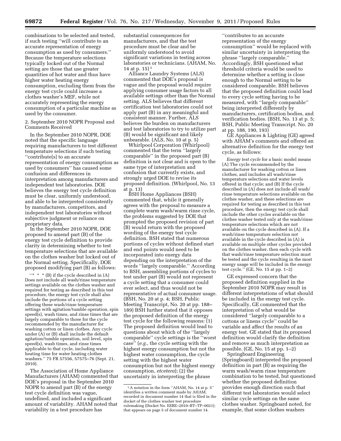combinations to be selected and tested, if such testing ''will contribute to an accurate representation of energy consumption as used by consumers.'' Because the temperature selections typically locked out of the Normal setting are those that use greater quantities of hot water and thus have higher water heating energy consumption, excluding them from the energy test cycle could increase a clothes washer's MEF, while not accurately representing the energy consumption of a particular machine as used by the consumer.

2. September 2010 NOPR Proposal and Comments Received

In the September 2010 NOPR, DOE noted that the specific language requiring manufacturers to test different temperature selections if such testing ''contribute[s] to an accurate representation of energy consumption as used by consumers'' has caused some confusion and differences in interpretation among manufacturers and independent test laboratories. DOE believes the energy test cycle definition must be clear, uniformly understood, and able to be interpreted consistently by manufacturers, competitors, and independent test laboratories without subjective judgment or reliance on proprietary data.

In the September 2010 NOPR, DOE proposed to amend part (B) of the energy test cycle definition to provide clarity in determining whether to test temperature selections that are available on the clothes washer but locked out of the Normal setting. Specifically, DOE proposed modifying part (B) as follows:

"\* \* \* (B) if the cycle described in (A) Does not include all wash/rinse temperature settings available on the clothes washer and required for testing as described in this test procedure, the energy test cycle shall also include the portions of a cycle setting offering these wash/rinse temperature settings with agitation/tumble operation, spin  $speed(s)$ , wash times, and rinse times that are largely comparable to those for the cycle recommended by the manufacturer for washing cotton or linen clothes. Any cycle under (A) or (B) shall include the default agitation/tumble operation, soil level, spin speed(s), wash times, and rinse times applicable to that cycle, including water heating time for water heating clothes washers.'' 75 FR 57556, 57575–76 (Sept. 21, 2010).

The Association of Home Appliance Manufacturers (AHAM) commented that DOE's proposal in the September 2010 NOPR to amend part (B) of the energy test cycle definition was vague, undefined, and included a significant amount of variability. AHAM noted that variability in a test procedure has

substantial consequences for manufacturers, and that the test procedure must be clear and be uniformly understood to avoid significant variations in testing across laboratories or technicians. (AHAM, No. 14 at p. 15) 1

Alliance Laundry Systems (ALS) commented that DOE's proposal is vague and the proposal would require applying consumer usage factors to all available settings other than the Normal setting. ALS believes that different certification test laboratories could not apply part (B) in any meaningful and consistent manner. Further, ALS believes the burden on manufacturers and test laboratories to try to utilize part (B) would be significant and likely unbearable. (ALS, No. 10 at p. 5)

Whirlpool Corporation (Whirlpool) commented that the term ''largely comparable'' in the proposed part (B) definition is not clear and is open to the same type of interpretation and confusion that currently exists, and strongly urged DOE to revise its proposed definition. (Whirlpool, No. 13 at p. 13)

BSH Home Appliances (BSH) commented that, while it generally agrees with the proposal to measure a complete warm wash/warm rinse cycle, the problems suggested by DOE that prompted the proposed revision of part (B) would return with the proposed wording of the energy test cycle definition. BSH stated that numerous portions of cycles without defined start and end points would need to be incorporated into energy data depending on the interpretation of the words ''largely comparable.'' According to BSH, assembling portions of cycles to test under part (B) would not represent a cycle setting that a consumer could ever select, and thus would not be representative of actual consumer usage. (BSH, No. 20 at p. 4; BSH, Public Meeting Transcript, No. 20 at pp. 188– 189) BSH further stated that it opposes the proposed definition of the energy test cycle for the following reasons: (1) The proposed definition would lead to questions about which of the ''largely comparable'' cycle settings is the ''worst case'' (*e.g.,* the cycle setting with the highest energy consumption but not the highest water consumption, the cycle setting with the highest water consumption but not the highest energy consumption, *etcetera*); (2) the uncertainty in interpreting the phrase

''contributes to an accurate representation of the energy consumption'' would be replaced with similar uncertainty in interpreting the phrase ''largely comparable.'' Accordingly, BSH questioned what threshold criteria would be used to determine whether a setting is close enough to the Normal setting to be considered comparable. BSH believes that the proposed definition could lead to every cycle setting having to be measured, with ''largely comparable'' being interpreted differently by manufacturers, certification bodies, and verification bodies. (BSH, No. 13 at p. 5; BSH, Public Meeting Transcript. No. 20 at pp. 188, 190, 193)

GE Appliances & Lighting (GE) agreed with AHAM's comments and offered an alternative definition for the energy test cycle, as follows:

*Energy test cycle* for a basic model means (A) The cycle recommended by the manufacturer for washing cotton or linen clothes, and includes all wash/rinse temperature selections and water levels offered in that cycle; and (B) If the cycle described in (A) does not include all wash/ rinse temperature selections available on the clothes washer, and these selections are required for testing as described in this test procedure, then the energy test cycle shall include the other cycles available on the clothes washer tested only at the wash/rinse temperature selections which are not available on the cycle described in (A). If a wash/rinse temperature selection not available in the cycle described in (A) is available on multiple other cycles provided on the clothes washer, then each cycle with that wash/rinse temperature selection must be tested and the cycle resulting in the most energy usage will be included in the energy test cycle.'' (GE, No. 15 at pp. 1–2)

GE expressed concern that the proposed definition supplied in the September 2010 NOPR may result in different interpretations of what should be included in the energy test cycle. Specifically, GE commented that the interpretation of what would be considered ''largely comparable to a cottons or linens cycle'' could be variable and affect the results of an energy test. GE stated that its proposed definition would clarify the definition and remove as much interpretation as possible. (GE, No. 15 at pp. 1–2) Springboard Engineering

(Springboard) interpreted the proposed definition in part (B) as requiring the warm wash/warm rinse temperature combination to be tested, but questioned whether the proposed definition provides enough direction such that different test laboratories would select similar cycle settings on the same clothes washer. Springboard noted, for example, that some clothes washers

<sup>1</sup>A notation in the form ''AHAM, No. 14 at p. 5'' identifies a written comment made by AHAM; recorded in document number 14 that is filed in the docket of the clothes washer test procedure rulemaking (Docket No. EERE–2010–BT–TP–0021); that appears on page 5 of document number 14.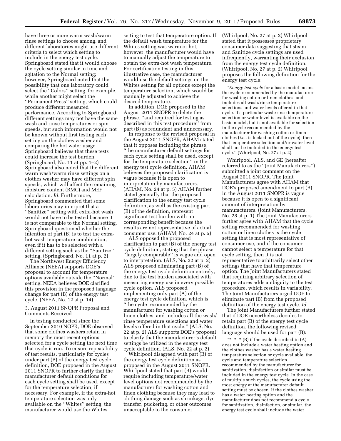have three or more warm wash/warm rinse settings to choose among, and different laboratories might use different criteria to select which setting to include in the energy test cycle. Springboard stated that it would choose the cycle setting similar in time and agitation to the Normal setting; however, Springboard noted that the possibility that one laboratory could select the ''Colors'' setting, for example, while another might select the ''Permanent Press'' setting, which could produce different measured performance. According to Springboard, different settings may not have the same wash and rinse temperatures or spin speeds, but such information would not be known without first testing each setting on the clothes washer and comparing the hot water usage. Springboard believes that these tests could increase the test burden. (Springboard, No. 11 at pp. 1–2) Springboard also noted that the different warm wash/warm rinse settings on a clothes washer may have different spin speeds, which will affect the remaining moisture content (RMC) and MEF calculation. *Id.* Furthermore, Springboard commented that some laboratories may interpret that a ''Sanitize'' setting with extra-hot wash would not have to be tested because it is not comparable to the Normal setting. Springboard questioned whether the intention of part (B) is to test the extrahot wash temperature combination, even if it has to be selected with a different setting such as the ''Sanitize'' setting. (Springboard, No. 11 at p. 2)

The Northwest Energy Efficiency Alliance (NEEA) supports DOE's proposal to account for temperature options available outside the ''Normal'' setting. NEEA believes DOE clarified this provision in the proposed language change for part (B) of the energy test cycle. (NEEA, No. 12 at p. 14)

# 3. August 2011 SNOPR Proposal and Comments Received

In testing conducted since the September 2010 NOPR, DOE observed that some clothes washers retain in memory the most recent options selected for a cycle setting the next time that cycle is run. To ensure repeatability of test results, particularly for cycles under part (B) of the energy test cycle definition, DOE proposed in the August 2011 SNOPR to further clarify that the manufacturer default conditions for each cycle setting shall be used, except for the temperature selection, if necessary. For example, if the extra-hot temperature selection was only available on the ''Whites'' setting, the manufacturer would use the Whites

setting to test that temperature option. If the default wash temperature for the Whites setting was warm or hot, however, the manufacturer would have to manually adjust the temperature to obtain the extra-hot wash temperature. For certification testing in this illustrative case, the manufacturer would use the default settings on the Whites setting for all options except the temperature selection, which would be manually adjusted to achieve the desired temperature.

In addition, DOE proposed in the August 2011 SNOPR to delete the phrase, ''and required for testing as described in this test procedure'' from part (B) as redundant and unnecessary.

In response to the revised proposal in the August 2011 SNOPR, AHAM stated that it opposes including the phrase, ''the manufacturer default settings for each cycle setting shall be used, except for the temperature selection'' in the energy test cycle definition. AHAM believes the proposed clarification is vague because it is open to interpretation by manufacturers. (AHAM, No. 24 at p. 5) AHAM further stated generally that the proposed clarification to the energy test cycle definition, as well as the existing part (B) of the definition, represent significant test burden with no corresponding benefit because the results are not representative of actual consumer use. (AHAM, No. 24 at p. 5)

ALS opposed the proposed clarification to part (B) of the energy test cycle definition, stating that the phrase ''largely comparable'' is vague and open to interpretation. (ALS, No. 22 at p. 2) ALS proposed eliminating part (B) of the energy test cycle definition entirely, due to the test burden associated with measuring energy use in every possible cycle option. ALS proposed implementing only part (A) of the energy test cycle definition, which is ''the cycle recommended by the manufacturer for washing cotton or linen clothes, and includes all the wash/ rinse temperature selections and water levels offered in that cycle.'' (ALS, No. 22 at p. 2) ALS supports DOE's proposal to clarify that the manufacturer's default settings be utilized in the energy test cycle definition. (ALS, No. 22 at p. 2)

Whirlpool disagreed with part (B) of the energy test cycle definition as proposed in the August 2011 SNOPR. Whirlpool stated that part (B) would require including temperature/water level options not recommended by the manufacturer for washing cotton and linen clothing because they may lead to clothing damage such as shrinkage, dye transfer, puckering, or other outcomes unacceptable to the consumer.

(Whirlpool, No. 27 at p. 2) Whirlpool stated that it possesses proprietary consumer data suggesting that steam and Sanitize cycle settings are used infrequently, warranting their exclusion from the energy test cycle definition. (Whirlpool, No. 27 at p. 2) Whirlpool proposes the following definition for the energy test cycle:

''*Energy test cycle* for a basic model means the cycle recommended by the manufacturer for washing cotton or linen clothes, and includes all wash/rinse temperature selections and water levels offered in that cycle. If a particular wash/rinse temperature selection or water level is available on the basic model, but is not available for selection in the cycle recommended by the manufacturer for washing cotton or linen clothes (*i.e.,* is locked out of the cycle), then that temperature selection and/or water level shall not be included in the energy test cycle.'' (Whirlpool, No. 27 at p. 2).

Whirlpool, ALS, and GE (hereafter referred to as the ''Joint Manufacturers'') submitted a joint comment on the August 2011 SNOPR. The Joint Manufacturers agree with AHAM that DOE's proposed amendment to part (B) in the August 2011 SNOPR is vague because it is open to a significant amount of interpretation by manufacturers. (Joint Manufacturers, No. 28 at p. 1) The Joint Manufacturers further agree with AHAM that the cycle setting recommended for washing cotton or linen clothes is the cycle setting that is most representative of consumer use, and if the consumer cannot select a temperature for that cycle setting, then it is not representative to arbitrarily select other settings that have that temperature option. The Joint Manufacturers stated that requiring arbitrary selection of temperatures adds ambiguity to the test procedure, which results in variability. The Joint Manufacturers urged DOE to eliminate part (B) from the proposed definition of the energy test cycle. *Id.* 

The Joint Manufacturers further stated that if DOE nevertheless decides to retain part (B) of the energy test cycle definition, the following revised language should be used for part (B):

"\* \* \*  $(B)$  if the cycle described in  $(A)$ does not include a water heating option and the clothes washer has a water heating temperature selection or cycle available, the cycle and temperature selection recommended by the manufacturer for sanitization, disinfection or similar must be included in the energy test cycle. In the case of multiple such cycles, the cycle using the most energy at the manufacturer default setting must be chosen. If the clothes washer has a water heating option and the manufacturer does not recommend a cycle for sanitization, disinfection, or similar, the energy test cycle shall include the water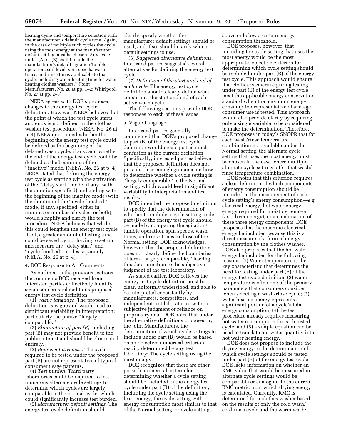heating cycle and temperature selection with the manufacturer's default cycle time. Again, in the case of multiple such cycles the cycle using the most energy at the manufacturer default setting must be chosen. Any cycle under (A) or (B) shall include the manufacturer's default agitation/tumble operation, soil level, spin speeds, wash times, and rinse times applicable to that cycle, including water heating time for water heating clothes washers.'' (Joint Manufacturers, No. 28 at pp. 1–2; Whirlpool, No. 27 at pp. 2–3).

NEEA agrees with DOE's proposed changes to the energy test cycle definition. However, NEEA believes that the point at which the test cycle starts and ends is not defined in the clothes washer test procedure. (NEEA, No. 26 at p. 4) NEEA questioned whether the beginning of the energy test cycle could be defined as the beginning of the delayed wash cycle, if any; and whether the end of the energy test cycle could be defined as the beginning of the ''inactive'' mode. (NEEA, No. 26 at p. 4) NEEA stated that defining the energy test cycle as starting with the activation of the ''delay start'' mode, if any (with the duration specified) and ending with the beginning of the inactive mode (with the duration of the ''cycle finished'' mode, if any, specified, either in minutes or number of cycles, or both), would simplify and clarify the test procedure. NEEA believes that while this could lengthen the energy test cycle itself, a greater amount of testing time could be saved by not having to set up and measure the ''delay start'' and "cycle finished" modes separately. (NEEA, No. 26 at p. 4).

### 4. DOE Response to All Comments

As outlined in the previous sections, the comments DOE received from interested parties collectively identify seven concerns related to its proposed energy test cycle definition:

(1) *Vague language.* The proposed definition is vague and would lead to significant variability in interpretation; particularly the phrase ''largely comparable.''

(2) *Elimination of part (B).* Including part (B) may not provide benefit to the public interest and should be eliminated entirely.

(3) *Representativeness.* The cycles required to be tested under the proposed part (B) are not representative of typical consumer usage patterns.

(4) *Test burden.* Third party laboratories could be required to test numerous alternate cycle settings to determine which cycles are largely comparable to the normal cycle, which could significantly increase test burden.

(5) *Manufacturer default settings.* The energy test cycle definition should

clearly specify whether the manufacturer default settings should be used, and if so, should clarify which default settings to use.

(6) *Suggested alternative definitions.*  Interested parties suggested several alternatives for defining the energy test cycle.

(7) *Definition of the start and end of each cycle.* The energy test cycle definition should clearly define what constitutes the start and end of each active wash cycle.

The following sections provide DOE's responses to each of these issues.

#### a. Vague Language

Interested parties generally commented that DOE's proposed change to part (B) of the energy test cycle definition would create just as much confusion as the current definition. Specifically, interested parties believe that the proposed definition does not provide clear enough guidance on how to determine whether a cycle setting is ''largely comparable'' to the Normal setting, which would lead to significant variability in interpretation and test results.

DOE intended the proposed definition to specify that the determination of whether to include a cycle setting under part (B) of the energy test cycle should be made by comparing the agitation/ tumble operation, spin speeds, wash times, and rinse times to those of the Normal setting. DOE acknowledges, however, that the proposed definition does not clearly define the boundaries of term ''largely comparable,'' leaving this determination to the subjective judgment of the test laboratory.

As stated earlier, DOE believes the energy test cycle definition must be clear, uniformly understood, and able to be interpreted consistently by manufacturers, competitors, and independent test laboratories without subjective judgment or reliance on proprietary data. DOE notes that under the alternative definitions proposed by the Joint Manufacturers, the determination of which cycle settings to include under part (B) would be based on an objective numerical criterion readily determined by any test laboratory: The cycle setting using the most energy.

DOE recognizes that there are other possible numerical criteria for determining whether a cycle setting should be included in the energy test cycle under part (B) of the definition, including the cycle setting using the least energy, the cycle setting with energy consumption most similar to that of the Normal setting, or cycle settings

above or below a certain energy consumption threshold.

DOE proposes, however, that including the cycle setting that uses the most energy would be the most appropriate, objective criterion for determining which cycle setting should be included under part (B) of the energy test cycle. This approach would ensure that clothes washers requiring testing under part (B) of the energy test cycle meet the applicable energy conservation standard when the maximum energy consumption representative of average consumer use is tested. This approach would also provide clarity by requiring only a single variable to be considered to make the determination. Therefore, DOE proposes in today's SNOPR that for each wash/rinse temperature combination not available under the Normal setting, the alternate cycle setting that uses the most energy must be chosen in the case where multiple alternate cycle settings offer that wash/ rinse temperature combination.

DOE notes that this criterion requires a clear definition of which components of energy consumption should be included in the measurement of each cycle setting's energy consumption—*e.g.*  electrical energy, hot water energy, energy required for moisture removal (*i.e.,* dryer energy), or a combination of these three energy components. DOE proposes that the machine electrical energy be included because this is a direct measure of a form of energy consumption by the clothes washer. DOE also proposes that the hot water energy be included for the following reasons: (1) Water temperature is the key characteristic that determines the need for testing under part (B) of the energy test cycle definition; (2) water temperature is often one of the primary parameters that consumers consider when selecting a wash/rinse cycle; (3) water heating energy represents a significant portion of a cycle's total energy consumption; (4) the test procedure already requires measuring hot water consumption for each tested cycle; and (5) a simple equation can be used to translate hot water quantity into hot water heating energy.

DOE does not propose to include the drying energy in the determination of which cycle settings should be tested under part (B) of the energy test cycle. DOE lacks information on whether an RMC value that would be measured in alternate cycle settings would be comparable or analogous to the current RMC metric from which drying energy is calculated. Currently, RMC is determined for a clothes washer based on the results of only the cold wash/ cold rinse cycle and the warm wash/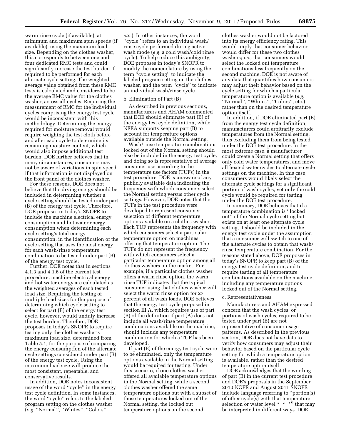warm rinse cycle (if available), at minimum and maximum spin speeds (if available), using the maximum load size. Depending on the clothes washer, this corresponds to between one and four dedicated RMC tests and could significantly increase the test burden if required to be performed for each alternate cycle setting. The weightedaverage value obtained from these RMC tests is calculated and considered to be the average RMC value for the clothes washer, across all cycles. Requiring the measurement of RMC for the individual cycles comprising the energy test cycle would be inconsistent with this methodology. Determining the energy required for moisture removal would require weighing the test cloth before and after each cycle to determine its remaining moisture content, which would also impose additional test burden. DOE further believes that in many circumstances, consumers may not be aware of variations in spin speed if that information is not displayed on the front panel of the clothes washer.

For these reasons, DOE does not believe that the drying energy should be included in determining whether a cycle setting should be tested under part (B) of the energy test cycle. Therefore, DOE proposes in today's SNOPR to include the machine electrical energy consumption and hot water energy consumption when determining each cycle setting's total energy consumption, in the identification of the cycle setting that uses the most energy for each wash/rinse temperature combination to be tested under part (B) of the energy test cycle.

Further, DOE notes that in sections 4.1.3 and 4.1.6 of the current test procedure, machine electrical energy and hot water energy are calculated as the weighted averages of each tested load size. Requiring the testing of multiple load sizes for the purpose of determining which cycle setting to select for part (B) of the energy test cycle, however, would unduly increase the test burden. Therefore, DOE proposes in today's SNOPR to require testing only the clothes washer's maximum load size, determined from Table 5.1, for the purpose of comparing the energy consumption of the alternate cycle settings considered under part (B) of the energy test cycle. Using the maximum load size will produce the most consistent, repeatable, and conservative results.

In addition, DOE notes inconsistent usage of the word ''cycle'' in the energy test cycle definition. In some instances, the word ''cycle'' refers to the labeled program setting on the clothes washer (*e.g.* ''Normal'', ''Whites'', ''Colors'',

*etc.*). In other instances, the word ''cycle'' refers to an individual wash/ rinse cycle performed during active wash mode (*e.g.* a cold wash/cold rinse cycle). To help reduce this ambiguity, DOE proposes in today's SNOPR to modify the nomenclature by using the term ''cycle setting'' to indicate the labeled program setting on the clothes washer, and the term ''cycle'' to indicate an individual wash/rinse cycle.

#### b. Elimination of Part (B)

As described in previous sections, manufacturers and AHAM commented that DOE should eliminate part (B) of the energy test cycle definition, while NEEA supports keeping part (B) to account for temperature options available outside the Normal setting.

Wash/rinse temperature combinations locked out of the Normal setting should also be included in the energy test cycle, and doing so is representative of average consumer use according to the temperature use factors (TUFs) in the test procedure. DOE is unaware of any publicly available data indicating the frequency with which consumers select the Normal setting versus other cycle settings. However, DOE notes that the TUFs in the test procedure were developed to represent consumer selection of different temperature options available on a clothes washer. Each TUF represents the frequency with which consumers select a particular temperature option on machines offering that temperature option. The TUFs do not represent the frequency with which consumers select a particular temperature option among all clothes washers on the market. For example, if a particular clothes washer offers a warm rinse option, the warm rinse TUF indicates that the typical consumer using that clothes washer will select the warm rinse option for 27 percent of all wash loads. DOE believes that the energy test cycle proposed in section III.A, which requires use of part (B) of the definition if part (A) does not include all wash/rinse temperature combinations available on the machine, should include any temperature combination for which a TUF has been developed.

If part (B) of the energy test cycle were to be eliminated, only the temperature options available in the Normal setting would be required for testing. Under this scenario, if one clothes washer offered all available temperature options in the Normal setting, while a second clothes washer offered the same temperature options but with a subset of those temperatures locked out of the Normal setting, the locked out temperature options on the second

clothes washer would not be factored into its energy efficiency rating. This would imply that consumer behavior would differ for these two clothes washers; *i.e.,* that consumers would select the locked out temperature combinations less frequently on the second machine. DOE is not aware of any data that quantifies how consumers may adjust their behavior based on the cycle setting for which a particular temperature option is available (*e.g.*  ''Normal'', ''Whites'', ''Colors'', etc.) rather than on the desired temperature option itself.

In addition, if DOE eliminated part (B) from the energy test cycle definition, manufacturers could arbitrarily exclude temperatures from the Normal setting, thus excluding them from being tested under the DOE test procedure. In the most extreme case, a manufacturer could create a Normal setting that offers only cold water temperatures, and move all heated water cycles to alternate cycle settings on the machine. In this case, consumers would likely select the alternate cycle settings for a significant portion of wash cycles, yet only the cold cycle would be required for testing under the DOE test procedure.

In summary, DOE believes that if a temperature combination is ''locked out'' of the Normal cycle setting but exists on at least one alternate cycle setting, it should be included in the energy test cycle under the assumption that a consumer will switch to one of the alternate cycles to obtain that wash/ rinse temperature combination. For the reasons stated above, DOE proposes in today's SNOPR to keep part (B) of the energy test cycle definition, and to require testing of all temperature combinations available on the machine, including any temperature options locked out of the Normal setting.

#### c. Representativeness

Manufacturers and AHAM expressed concern that the wash cycles, or portions of wash cycles, required to be tested under part (B) are not representative of consumer usage patterns. As described in the previous section, DOE does not have data to verify how consumers may adjust their behavior based on the particular cycle setting for which a temperature option is available, rather than the desired temperature option itself.

DOE acknowledges that the wording of part (B) in the current test procedure and DOE's proposals in the September 2010 NOPR and August 2011 SNOPR include language referring to ''portion(s) of other cycle(s) with that temperature selection or water level  $* * * \cdot$  that may be interpreted in different ways. DOE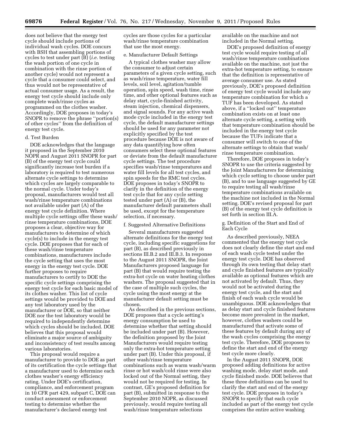does not believe that the energy test cycle should include portions of individual wash cycles. DOE concurs with BSH that assembling portions of cycles to test under part (B) (*i.e.* testing the wash portion of one cycle in combination with the rinse portion of another cycle) would not represent a cycle that a consumer could select, and thus would not be representative of actual consumer usage. As a result, the energy test cycle should include only complete wash/rinse cycles as programmed on the clothes washer. Accordingly, DOE proposes in today's SNOPR to remove the phrase ''portion(s) of other cycles'' from the definition of energy test cycle.

#### d. Test Burden

DOE acknowledges that the language it proposed in the September 2010 NOPR and August 2011 SNOPR for part (B) of the energy test cycle could significantly increase test burden if a laboratory is required to test numerous alternate cycle settings to determine which cycles are largely comparable to the normal cycle. Under today's proposal, manufacturers would test all wash/rinse temperature combinations not available under part (A) of the energy test cycle definition. Where multiple cycle settings offer these wash/ rinse temperature combinations, DOE proposes a clear, objective way for manufacturers to determine of which cycle(s) to include in the energy test cycle. DOE proposes that for each of these wash/rinse temperature combinations, manufacturers include the cycle setting that uses the most energy in the energy test cycle. DOE further proposes to require manufacturers to certify to DOE the specific cycle settings comprising the energy test cycle for each basic model of its clothes washer. This list of cycle settings would be provided to DOE and any test laboratory used by the manufacturer or DOE, so that neither DOE nor the test laboratory would be required to independently determine which cycles should be included. DOE believes that this proposal would eliminate a major source of ambiguity and inconsistency of test results among various laboratories.

This proposal would require a manufacturer to provide to DOE as part of its certification the cycle settings that a manufacturer used to determine each clothes washer's energy efficiency rating. Under DOE's certification, compliance, and enforcement program in 10 CFR part 429, subpart C, DOE can conduct assessment or enforcement testing to determine whether the manufacturer's declared energy test

cycles are those cycles for a particular wash/rinse temperature combination that use the most energy.

#### e. Manufacturer Default Settings

A typical clothes washer may allow the consumer to adjust certain parameters of a given cycle setting, such as wash/rinse temperature, water fill levels, soil level, agitation/tumble operation, spin speed, wash time, rinse time, and other optional features such as delay start, cycle-finished activity, steam injection, chemical dispensers, and signal sounds. For any active wash mode cycle included in the energy test cycle, the default manufacturer settings should be used for any parameter not explicitly specified by the test procedure because DOE is not aware of any data quantifying how often consumers select these optional features or deviate from the default manufacturer cycle settings. The test procedure specifies wash/rinse temperatures and water fill levels for all test cycles, and spin speeds for the RMC test cycles. DOE proposes in today's SNOPR to clarify in the definition of the energy test cycle that for any cycle setting tested under part (A) or (B), the manufacturer default parameters shall be used, except for the temperature selection, if necessary.

#### f. Suggested Alternative Definitions

Several manufacturers suggested alternate definitions for the energy test cycle, including specific suggestions for part (B), as described previously in sections III.B.2 and III.B.3. In response to the August 2011 SNOPR, the Joint Manufacturers proposed language for part (B) that would require testing the extra-hot cycle on water heating clothes washers. The proposal suggested that in the case of multiple such cycles, the cycle using the most energy at the manufacturer default setting must be chosen.

As described in the previous sections, DOE proposes that a cycle setting's energy consumption be used to determine whether that setting should be included under part (B). However, the definition proposed by the Joint Manufacturers would require testing only the extra-hot temperature setting under part (B). Under this proposal, if other wash/rinse temperature combinations such as warm wash/warm rinse or hot wash/cold rinse were also locked out of the Normal setting, they would not be required for testing. In contrast, GE's proposed definition for part (B), submitted in response to the September 2010 NOPR, as discussed previously, would require testing all wash/rinse temperature selections

available on the machine and not included in the Normal setting.

DOE's proposed definition of energy test cycle would require testing of all wash/rinse temperature combinations available on the machine, not just the extra-hot temperature setting, to ensure that the definition is representative of average consumer use. As stated previously, DOE's proposed definition of energy test cycle would include any temperature combination for which a TUF has been developed. As stated above, if a ''locked out'' temperature combination exists on at least one alternate cycle setting, a setting with that temperature combination should be included in the energy test cycle because the TUFs indicate that a consumer will switch to one of the alternate settings to obtain that wash/ rinse temperature combination.

Therefore, DOE proposes in today's SNOPR to use the criteria suggested by the Joint Manufacturers for determining which cycle setting to choose under part (B), and to use language suggested by GE to require testing all wash/rinse temperature combinations available on the machine not included in the Normal setting. DOE's revised proposal for part (B) of the energy test cycle definition is set forth in section III.A.

# g. Definition of the Start and End of Each Cycle

As described previously, NEEA commented that the energy test cycle does not clearly define the start and end of each wash cycle tested under the energy test cycle. DOE has observed through its own testing that delay start and cycle finished features are typically available as optional features which are not activated by default. Thus, they would not be activated during the energy test cycle, and the start and finish of each wash cycle would be unambiguous. DOE acknowledges that as delay start and cycle finished features become more prevalent in the market, however, clothes washers could be manufactured that activate some of these features by default during any of the wash cycles comprising the energy test cycle. Therefore, DOE proposes to define the start and end of the energy test cycle more clearly.

In the August 2011 SNOPR, DOE proposed adding definitions for active washing mode, delay start mode, and cycle finished mode. DOE believes that these three definitions can be used to clarify the start and end of the energy test cycle. DOE proposes in today's SNOPR to specify that each cycle included as part of the energy test cycle comprises the entire active washing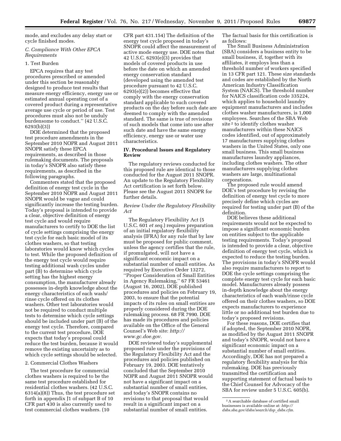mode, and excludes any delay start or cycle finished modes.

# *C. Compliance With Other EPCA Requirements*

# 1. Test Burden

EPCA requires that any test procedures prescribed or amended under this section be reasonably designed to produce test results that measure energy efficiency, energy use or estimated annual operating cost of a covered product during a representative average use cycle or period of use. Test procedures must also not be unduly burdensome to conduct.'' (42 U.S.C. 6293(b)(3))

DOE determined that the proposed test procedure amendments in the September 2010 NOPR and August 2011 SNOPR satisfy these EPCA requirements, as described in those rulemaking documents. The proposals in today's SNOPR also satisfy these requirements, as described in the following paragraphs.

Commenters stated that the proposed definition of energy test cycle in the September 2010 NOPR and August 2011 SNOPR would be vague and could significantly increase the testing burden. Today's proposal is intended to provide a clear, objective definition of energy test cycle and would require manufacturers to certify to DOE the list of cycle settings comprising the energy test cycle for each basic model of its clothes washers, so that testing laboratories would know which cycles to test. While the proposed definition of the energy test cycle would require testing additional wash cycles under part (B) to determine which cycle setting has the highest energy consumption, the manufacturer already possesses in-depth knowledge about the energy characteristics of each wash/ rinse cycle offered on its clothes washers. Other test laboratories would not be required to conduct multiple tests to determine which cycle settings should be included under part (B) of the energy test cycle. Therefore, compared to the current test procedure, DOE expects that today's proposal could reduce the test burden, because it would remove the existing uncertainty as to which cycle settings should be selected.

## 2. Commercial Clothes Washers

The test procedure for commercial clothes washers is required to be the same test procedure established for residential clothes washers. (42 U.S.C. 6314(a)(8)) Thus, the test procedure set forth in appendix J1 of subpart B of 10 CFR part 430 is also currently used to test commercial clothes washers. (10

CFR part 431.154) The definition of the energy test cycle proposed in today's SNOPR could affect the measurement of active mode energy use. DOE notes that 42 U.S.C. 6293(e)(3) provides that models of covered products in use before the date on which an amended energy conservation standard (developed using the amended test procedure pursuant to 42 U.S.C. 6293(e)(2)) becomes effective that comply with the energy conservation standard applicable to such covered products on the day before such date are deemed to comply with the amended standard. The same is true of revisions of such models that come into use after such date and have the same energy efficiency, energy use or water use characteristics.

# **IV. Procedural Issues and Regulatory Review**

The regulatory reviews conducted for this proposed rule are identical to those conducted for the August 2011 SNOPR. An update to the Regulatory Flexibility Act certification is set forth below. Please see the August 2011 SNOPR for further details.

# *Review Under the Regulatory Flexibility Act*

The Regulatory Flexibility Act (5 U.S.C. 601 *et seq.*) requires preparation of an initial regulatory flexibility analysis (IFRA) for any rule that by law must be proposed for public comment, unless the agency certifies that the rule, if promulgated, will not have a significant economic impact on a substantial number of small entities. As required by Executive Order 13272, ''Proper Consideration of Small Entities in Agency Rulemaking,'' 67 FR 53461 (August 16, 2002), DOE published procedures and policies on February 19, 2003, to ensure that the potential impacts of its rules on small entities are properly considered during the DOE rulemaking process. 68 FR 7990. DOE has made its procedures and policies available on the Office of the General Counsel's Web site: *[http://](http://www.gc.doe.gov) [www.gc.doe.gov.](http://www.gc.doe.gov)* 

DOE reviewed today's supplemental proposed rule under the provisions of the Regulatory Flexibility Act and the procedures and policies published on February 19, 2003. DOE tentatively concluded that the September 2010 NOPR and August 2011 SNOPR would not have a significant impact on a substantial number of small entities, and today's SNOPR contains no revisions to that proposal that would result in a significant impact on a substantial number of small entities.

The factual basis for this certification is as follows:

The Small Business Administration (SBA) considers a business entity to be small business, if, together with its affiliates, it employs less than a threshold number of workers specified in 13 CFR part 121. These size standards and codes are established by the North American Industry Classification System (NAICS). The threshold number for NAICS classification code 335224, which applies to household laundry equipment manufacturers and includes clothes washer manufacturers, is 1,000 employees. Searches of the SBA Web site 2 to identify clothes washer manufacturers within these NAICS codes identified, out of approximately 17 manufacturers supplying clothes washers in the United States, only one small business. This small business manufactures laundry appliances, including clothes washers. The other manufacturers supplying clothes washers are large, multinational corporations.

The proposed rule would amend DOE's test procedure by revising the definition of energy test cycle to more precisely define which cycles are required for testing under part (B) of the definition.

DOE believes these additional requirements would not be expected to impose a significant economic burden on entities subject to the applicable testing requirements. Today's proposal is intended to provide a clear, objective definition of energy test cycle, which is expected to reduce the testing burden. The provisions in today's SNOPR would also require manufacturers to report to DOE the cycle settings comprising the complete energy test cycle for each basic model. Manufacturers already possess in-depth knowledge about the energy characteristics of each wash/rinse cycle offered on their clothes washers, so DOE expects manufacturers to experience little or no additional test burden due to today's proposed revisions.

For these reasons, DOE certifies that if adopted, the September 2010 NOPR, as modified by the August 2011 SNOPR and today's SNOPR, would not have a significant economic impact on a substantial number of small entities. Accordingly, DOE has not prepared a regulatory flexibility analysis for this rulemaking. DOE has previously transmitted the certification and supporting statement of factual basis to the Chief Counsel for Advocacy of the SBA for review under 5 U.S.C. 605(b).

<sup>2</sup>A searchable database of certified small businesses is available online at: *[http://](http://dsbs.sba.gov/dsbs/search/dsp_dsbs.cfm) [dsbs.sba.gov/dsbs/search/dsp](http://dsbs.sba.gov/dsbs/search/dsp_dsbs.cfm)*\_*dsbs.cfm.*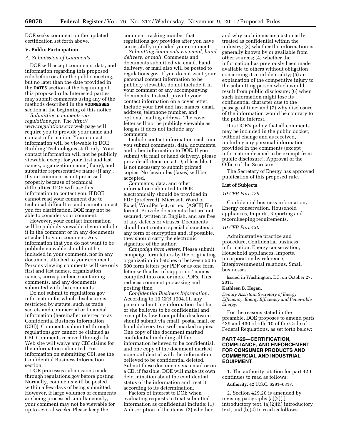DOE seeks comment on the updated certification set forth above.

# **V. Public Participation**

#### *A. Submission of Comments*

DOE will accept comments, data, and information regarding this proposed rule before or after the public meeting, but no later than the date provided in the **DATES** section at the beginning of this proposed rule. Interested parties may submit comments using any of the methods described in the **ADDRESSES** section at the beginning of this notice.

*Submitting comments via regulations.gov.* The *[http://](http://www.regulations.gov)  [www.regulations.gov](http://www.regulations.gov)* web page will require you to provide your name and contact information. Your contact information will be viewable to DOE Building Technologies staff only. Your contact information will not be publicly viewable except for your first and last names, organization name (if any), and submitter representative name (if any). If your comment is not processed properly because of technical difficulties, DOE will use this information to contact you. If DOE cannot read your comment due to technical difficulties and cannot contact you for clarification, DOE may not be able to consider your comment.

However, your contact information will be publicly viewable if you include it in the comment or in any documents attached to your comment. Any information that you do not want to be publicly viewable should not be included in your comment, nor in any document attached to your comment. Persons viewing comments will see only first and last names, organization names, correspondence containing comments, and any documents submitted with the comments.

Do not submit to regulations.gov information for which disclosure is restricted by statute, such as trade secrets and commercial or financial information (hereinafter referred to as Confidential Business Information (CBI)). Comments submitted through regulations.gov cannot be claimed as CBI. Comments received through the Web site will waive any CBI claims for the information submitted. For information on submitting CBI, see the Confidential Business Information section.

DOE processes submissions made through regulations.gov before posting. Normally, comments will be posted within a few days of being submitted. However, if large volumes of comments are being processed simultaneously, your comment may not be viewable for up to several weeks. Please keep the

comment tracking number that regulations.gov provides after you have successfully uploaded your comment.

*Submitting comments via email, hand delivery, or mail.* Comments and documents submitted via email, hand delivery, or mail also will be posted to regulations.gov. If you do not want your personal contact information to be publicly viewable, do not include it in your comment or any accompanying documents. Instead, provide your contact information on a cover letter. Include your first and last names, email address, telephone number, and optional mailing address. The cover letter will not be publicly viewable as long as it does not include any comments

Include contact information each time you submit comments, data, documents, and other information to DOE. If you submit via mail or hand delivery, please provide all items on a CD, if feasible. It is not necessary to submit printed copies. No facsimiles (faxes) will be accepted.

Comments, data, and other information submitted to DOE electronically should be provided in PDF (preferred), Microsoft Word or Excel, WordPerfect, or text (ASCII) file format. Provide documents that are not secured, written in English, and are free of any defects or viruses. Documents should not contain special characters or any form of encryption and, if possible, they should carry the electronic signature of the author.

*Campaign form letters.* Please submit campaign form letters by the originating organization in batches of between 50 to 500 form letters per PDF or as one form letter with a list of supporters' names compiled into one or more PDFs. This reduces comment processing and posting time.

*Confidential Business Information.*  According to 10 CFR 1004.11, any person submitting information that he or she believes to be confidential and exempt by law from public disclosure should submit via email, postal mail, or hand delivery two well-marked copies: One copy of the document marked confidential including all the information believed to be confidential, and one copy of the document marked non-confidential with the information believed to be confidential deleted. Submit these documents via email or on a CD, if feasible. DOE will make its own determination about the confidential status of the information and treat it according to its determination.

Factors of interest to DOE when evaluating requests to treat submitted information as confidential include: (1) A description of the items; (2) whether

and why such items are customarily treated as confidential within the industry; (3) whether the information is generally known by or available from other sources; (4) whether the information has previously been made available to others without obligation concerning its confidentiality; (5) an explanation of the competitive injury to the submitting person which would result from public disclosure; (6) when such information might lose its confidential character due to the passage of time; and (7) why disclosure of the information would be contrary to the public interest.

It is DOE's policy that all comments may be included in the public docket, without change and as received, including any personal information provided in the comments (except information deemed to be exempt from public disclosure). Approval of the Office of the Secretary

The Secretary of Energy has approved publication of this proposed rule.

#### **List of Subjects**

#### *10 CFR Part 429*

Confidential business information, Energy conservation, Household appliances, Imports, Reporting and recordkeeping requirements.

#### *10 CFR Part 430*

Administrative practice and procedure, Confidential business information, Energy conservation, Household appliances, Imports, Incorporation by reference, Intergovernmental relations, Small businesses.

Issued in Washington, DC, on October 27, 2011.

#### **Kathleen B. Hogan,**

*Deputy Assistant Secretary of Energy Efficiency, Energy Efficiency and Renewable Energy.* 

For the reasons stated in the preamble, DOE proposes to amend parts 429 and 430 of title 10 of the Code of Federal Regulations, as set forth below:

# **PART 429—CERTIFICATION, COMPLIANCE, AND ENFORCEMENT FOR CONSUMER PRODUCTS AND COMMERCIAL AND INDUSTRIAL EQUIPMENT**

1. The authority citation for part 429 continues to read as follows:

**Authority:** 42 U.S.C. 6291–6317.

2. Section 429.20 is amended by revising paragraphs (a)(2)(i) introductory text, (a)(2)(ii) introductory text, and (b)(2) to read as follows: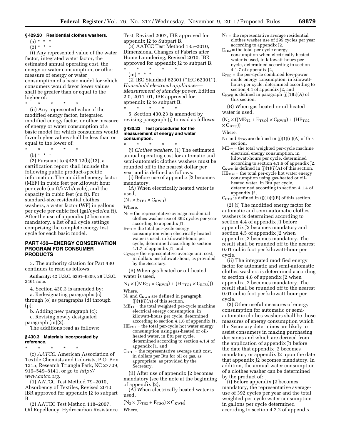# **§ 429.20 Residential clothes washers.**

 $(a) * * * *$ 

 $(2) * * * *$ 

(i) Any represented value of the water factor, integrated water factor, the estimated annual operating cost, the energy or water consumption, or other measure of energy or water consumption of a basic model for which consumers would favor lower values shall be greater than or equal to the higher of:

\* \* \* \* \*

(ii) Any represented value of the modified energy factor, integrated modified energy factor, or other measure of energy or water consumption of a basic model for which consumers would favor higher values shall be less than or equal to the lower of:

- \* \* \* \* \*
- (b) \* \* \*

(2) Pursuant to § 429.12(b)(13), a certification report shall include the following public product-specific information: The modified energy factor (MEF) in cubic feet per kilowatt hour per cycle (cu ft/kWh/cycle), and the capacity in cubic feet (cu ft). For standard-size residential clothes washers, a water factor (WF) in gallons per cycle per cubic feet (gal/cycle/cu ft). After the use of appendix J2 becomes mandatory, a list of all cycle settings comprising the complete energy test cycle for each basic model.

## **PART 430—ENERGY CONSERVATION PROGRAM FOR CONSUMER PRODUCTS**

3. The authority citation for Part 430 continues to read as follows:

**Authority:** 42 U.S.C. 6291–6309; 28 U.S.C. 2461 note.

4. Section 430.3 is amended by:

a. Redesignating paragraphs (c) through (o) as paragraphs (d) through (p);

- b. Adding new paragraph (c);
- c. Revising newly designated

paragraph (m)(2).

The additions read as follows:

## **§ 430.3 Materials incorporated by reference.**

\* \* \* \* \* (c) *AATCC.* American Association of Textile Chemists and Colorists, P.O. Box 1215, Research Triangle Park, NC 27709, 919–549–8141, or go to *[http://](http://www.aatcc.org)  [www.aatcc.org.](http://www.aatcc.org)* 

(1) AATCC Test Method 79–2010, Absorbency of Textiles, Revised 2010, IBR approved for appendix J2 to subpart B.

(2) AATCC Test Method 118–2007, Oil Repellency: Hydrocarbon Resistance Test, Revised 2007, IBR approved for appendix J2 to Subpart B.

(3) AATCC Test Method 135–2010, Dimensional Changes of Fabrics after Home Laundering, Revised 2010, IBR approved for appendix J2 to subpart B.

\* \* \* \* \* (m) \* \* \*

(2) IEC Standard 62301 (''IEC 62301''), *Household electrical appliances— Measurement of standby power,* Edition 2.0, 2011–01, IBR approved for appendix J2 to subpart B.

5. Section 430.23 is amended by revising paragraph (j) to read as follows:

#### **§ 430.23 Test procedures for the measurement of energy and water consumption.**

\* \* \* \* \*

\* \* \* \* \* (j) *Clothes washers.* (1) The estimated annual operating cost for automatic and semi-automatic clothes washers must be rounded off to the nearest dollar per year and is defined as follows:

(i) Before use of appendix J2 becomes mandatory,

- (A) When electrically heated water is used,
- $(N_1 \times E_{\text{TE1}} \times C_{\text{KWH}})$

Where,

- $N_1$  = the representative average residential clothes washer use of 392 cycles per year according to appendix J1,
- $E<sub>TE1</sub>$  = the total per-cycle energy consumption when electrically heated water is used, in kilowatt-hours per cycle, determined according to section 4.1.7 of appendix J1, and
- $C_{KWH}$  = the representative average unit cost, in dollars per kilowatt-hour, as provided by the Secretary.

(B) When gas-heated or oil-heated water is used,

 $N_1 \times ((ME_{T1} \times C_{KWH}) + (HE_{TGI} \times C_{BTU})))$ 

Where,

- $\rm N_1$  and  $\rm C_{KWH}$  are defined in paragraph  $(j)(1)(i)(A)$  of this section,
- $ME_{T1}$  = the total weighted per-cycle machine electrical energy consumption, in kilowatt-hours per cycle, determined according to section 4.1.6 of appendix J1,
- $HE_{TG1}$  = the total per-cycle hot water energy consumption using gas-heated or oilheated water, in Btu per cycle, determined according to section 4.1.4 of appendix J1, and
- $C_{\text{BTU}}$  = the representative average unit cost, in dollars per Btu for oil or gas, as appropriate, as provided by the Secretary.

(ii) After use of appendix J2 becomes mandatory (see the note at the beginning of appendix J2),

(A) When electrically heated water is used,

 $(N_2 \times (E_{TE2} + E_{TSO}) \times C_{KWH})$ Where,

- $N_2$  = the representative average residential clothes washer use of 295 cycles per year according to appendix J2,
- $E<sub>TE2</sub>$  = the total per-cycle energy consumption when electrically heated water is used, in kilowatt-hours per cycle, determined according to section 4.1.7 of appendix J2,
- $E_{\text{TSO}}$  = the per-cycle combined low-power mode energy consumption, in kilowatthours per cycle, determined according to section 4.4 of appendix J2, and
- $C_{KWH}$  is defined in paragraph (j)(1)(i)(A) of this section.

(B) When gas-heated or oil-heated water is used,

 $(N_2 \times ((ME_{T2} + E_{TSO}) \times C_{KWH}) + (HE_{TG2})$  $\times C_{\rm BTU})$ 

Where,

- $N_2$  and  $E_{TSO}$  are defined in (j)(1)(ii)(A) of this section,
- $ME_{T2}$  = the total weighted per-cycle machine electrical energy consumption, in kilowatt-hours per cycle, determined according to section 4.1.6 of appendix J2,
- $C_{KWH}$  is defined in (j)(1)(i)(A) of this section,  $HE_{TG2}$  = the total per-cycle hot water energy consumption using gas-heated or oilheated water, in Btu per cycle, determined according to section 4.1.4 of appendix J2,

 $C_{\text{BTU}}$  is defined in (j)(1)(i)(B) of this section.

(2) (i) The modified energy factor for automatic and semi-automatic clothes washers is determined according to section 4.4 of appendix J1 before appendix J2 becomes mandatory and section 4.5 of appendix J2 when appendix J2 becomes mandatory. The result shall be rounded off to the nearest 0.01 cubic foot per kilowatt-hour per cycle.

(ii) The integrated modified energy factor for automatic and semi-automatic clothes washers is determined according to section 4.6 of appendix J2 when appendix J2 becomes mandatory. The result shall be rounded off to the nearest 0.01 cubic foot per kilowatt-hour per cycle.

(3) Other useful measures of energy consumption for automatic or semiautomatic clothes washers shall be those measures of energy consumption which the Secretary determines are likely to assist consumers in making purchasing decisions and which are derived from the application of appendix J1 before the date that appendix J2 becomes mandatory or appendix J2 upon the date that appendix J2 becomes mandatory. In addition, the annual water consumption of a clothes washer can be determined by the product of:

(i) Before appendix J2 becomes mandatory, the representative averageuse of 392 cycles per year and the total weighted per-cycle water consumption in gallons per cycle determined according to section 4.2.2 of appendix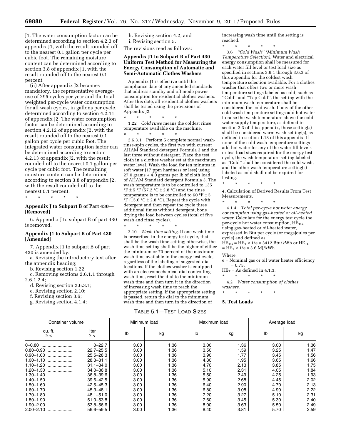J1. The water consumption factor can be determined according to section 4.2.3 of appendix J1, with the result rounded off to the nearest 0.1 gallon per cycle per cubic foot. The remaining moisture content can be determined according to section 3.8 of appendix J1, with the result rounded off to the nearest 0.1 percent.

(ii) After appendix J2 becomes mandatory, the representative averageuse of 295 cycles per year and the total weighted per-cycle water consumption for all wash cycles, in gallons per cycle, determined according to section 4.2.11 of appendix J2. The water consumption factor can be determined according to section 4.2.12 of appendix J2, with the result rounded off to the nearest 0.1 gallon per cycle per cubic foot. The integrated water consumption factor can be determined according to section 4.2.13 of appendix J2, with the result rounded off to the nearest 0.1 gallon per cycle per cubic foot. The remaining moisture content can be determined according to section 3.8 of appendix J2, with the result rounded off to the nearest 0.1 percent.

\* \* \* \* \*

# **Appendix J to Subpart B of Part 430— [Removed]**

6. Appendix J to subpart B of part 430 is removed.

# **Appendix J1 to Subpart B of Part 430— [Amended]**

7. Appendix J1 to subpart B of part 430 is amended by:

a. Revising the introductory text after the appendix heading;

b. Revising section 1.22;

c. Removing sections 2.6.1.1 through 2.6.1.2.4;

- d. Revising section 2.6.3.1;
- e. Revising section 2.10;
- f. Revising section 3.6;
- g. Revising section 4.1.4;

h. Revising section 4.2; and i. Revising section 5.

The revisions read as follows:

# **Appendix J1 to Subpart B of Part 430— Uniform Test Method for Measuring the Energy Consumption of Automatic and Semi-Automatic Clothes Washers**

Appendix J1 is effective until the compliance date of any amended standards that address standby and off mode power consumption for residential clothes washers. After this date, all residential clothes washers shall be tested using the provisions of Appendix J2.

\* \* \* \* \*

 $\star$   $\star$   $\star$ 

1.22 *Cold rinse* means the coldest rinse temperature available on the machine. \* \* \* \* \*

2.6.3.1 Perform 5 complete normal washrinse-spin cycles, the first two with current AHAM Standard detergent Formula 3 and the last three without detergent. Place the test cloth in a clothes washer set at the maximum water level. Wash the load for ten minutes in soft water (17 ppm hardness or less) using 27.0 grams + 4.0 grams per lb of cloth load of AHAM Standard detergent Formula 3. The wash temperature is to be controlled to 135  $\mathrm{^{\circ}F} \pm 5$   $\mathrm{^{\circ}F}$  (57.2  $\mathrm{^{\circ}C} \pm 2.8$   $\mathrm{^{\circ}C})$  and the rinse temperature is to be controlled to 60 °F  $\pm$  5  ${}^{\circ}F$  (15.6  ${}^{\circ}C \pm 2.8 {}^{\circ}C$ ). Repeat the cycle with detergent and then repeat the cycle three additional times without detergent, bone drying the load between cycles (total of five wash and rinse cycles).

2.10 *Wash time setting.* If one wash time is prescribed in the energy test cycle, that shall be the wash time setting; otherwise, the wash time setting shall be the higher of either the minimum or 70 percent of the maximum wash time available in the energy test cycle, regardless of the labeling of suggested dial locations. If the clothes washer is equipped with an electromechanical dial controlling wash time, reset the dial to the minimum wash time and then turn it in the direction of increasing wash time to reach the appropriate setting. If the appropriate setting is passed, return the dial to the minimum wash time and then turn in the direction of

#### TABLE 5.1—TEST LOAD SIZES

increasing wash time until the setting is reached.

\* \* \* \* \*

3.6 *''Cold Wash'' (Minimum Wash Temperature Selection).* Water and electrical energy consumption shall be measured for each water fill level or test load size as specified in sections 3.6.1 through 3.6.3 of this appendix for the coldest wash temperature selection available. For a clothes washer that offers two or more wash temperature settings labeled as cold, such as ''Cold'' and ''Tap Cold'', the setting with the minimum wash temperature shall be considered the cold wash. If any of the other cold wash temperature settings add hot water to raise the wash temperature above the cold water supply temperature, as defined in section 2.3 of this appendix, those setting(s) shall be considered warm wash setting(s), as defined in section 1.18 of this appendix. If none of the cold wash temperature settings add hot water for any of the water fill levels or test load sizes required for the energy test cycle, the wash temperature setting labeled as ''Cold'' shall be considered the cold wash, and the other wash temperature setting(s) labeled as cold shall not be required for testing.

\* \* \* \* \*

4. Calculation of Derived Results From Test Measurements.

\* \* \* \* \*

4.1.4 *Total per-cycle hot water energy consumption using gas-heated or oil-heated water.* Calculate for the energy test cycle the per-cycle hot water consumption, HE<sub>TG,</sub> using gas-heated or oil-heated water, expressed in Btu per cycle (or megajoules per cycle) and defined as:  $HE_{TG} = HE_T \times 1/e \times 3412$  Btu/kWh or  $HE_{TG}$ 

 $= HE_T \times 1/e \times 3.6$  MJ/kWh

Where:

e = Nominal gas or oil water heater efficiency  $= 0.75.$ 

 $HE_T = As defined in 4.1.3.$ 

\* \* \* \* \*

4.2 *Water consumption of clothes washers.* 

\* \* \* \* \*

# **5. Test Loads**

| Container volume                    |                                | Minimum load<br>Maximum load |              |              | Average load |              |              |
|-------------------------------------|--------------------------------|------------------------------|--------------|--------------|--------------|--------------|--------------|
| cu. ft.<br>$\geq$ <                 | liter<br>$\geq$ <              | lb                           | kg           | lb           | kg           | Ib           | kg           |
| 0-0.80<br>$0.80 - 0.90$<br>.        | $0 - 22.7$<br>$22.7 - 25.5$    | 3.00<br>3.00                 | 1.36<br>1.36 | 3.00<br>3.50 | 1.36<br>1.59 | 3.00<br>3.25 | 1.36<br>1.47 |
| $0.90 - 1.00$<br>$1.00 - 1.10$      | $25.5 - 28.3$<br>$28.3 - 31.1$ | 3.00<br>3.00                 | 1.36<br>1.36 | 3.90<br>4.30 | 1.77<br>1.95 | 3.45<br>3.65 | 1.56<br>1.66 |
| $1.10 - 1.20$<br>.<br>$1.20 - 1.30$ | $31.1 - 34.0$<br>$34.0 - 36.8$ | 3.00<br>3.00                 | 1.36<br>1.36 | 4.70<br>5.10 | 2.13<br>2.31 | 3.85<br>4.05 | 1.75<br>1.84 |
| $1.30 - 1.40$<br>$1.40 - 1.50$      | $36.8 - 39.6$<br>$39.6 - 42.5$ | 3.00<br>3.00                 | 1.36<br>1.36 | 5.50<br>5.90 | 2.49<br>2.68 | 4.25<br>4.45 | 1.93<br>2.02 |
| $1.50 - 1.60$<br>$1.60 - 1.70$      | $42.5 - 45.3$<br>$45.3 - 48.1$ | 3.00<br>3.00                 | 1.36<br>1.36 | 6.40<br>6.80 | 2.90<br>3.08 | 4.70<br>4.90 | 2.13<br>2.22 |
| $1.70 - 1.80$<br>$1.80 - 1.90$      | $48.1 - 51.0$<br>$51.0 - 53.8$ | 3.00<br>3.00 <sub>1</sub>    | 1.36<br>1.36 | 7.20<br>7.60 | 3.27<br>3.45 | 5.10<br>5.30 | 2.31<br>2.40 |
| $1.90 - 2.00$<br>$2.00 - 2.10$      | 53.8-56.6<br>56.6-59.5         | 3.00<br>3.00 <sub>1</sub>    | 1.36<br>1.36 | 8.00<br>8.40 | 3.63<br>3.81 | 5.50<br>5.70 | 2.49<br>2.59 |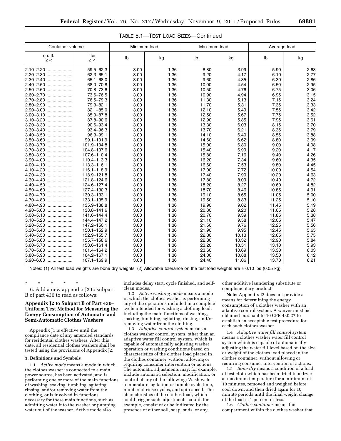| Container volume   |                   | Minimum load |      | Maximum load |       | Average load |      |
|--------------------|-------------------|--------------|------|--------------|-------|--------------|------|
| cu. ft.<br>$\ge$ < | liter<br>$\geq$ < | Ib           | kg   | Ib           | kg    | lb           | kg   |
| $2.10 - 2.20$      | $59.5 - 62.3$     | 3.00         | 1.36 | 8.80         | 3.99  | 5.90         | 2.68 |
| $2.20 - 2.30$      | $62.3 - 65.1$     | 3.00         | 1.36 | 9.20         | 4.17  | 6.10         | 2.77 |
|                    | $65.1 - 68.0$     | 3.00         | 1.36 | 9.60         | 4.35  | 6.30         | 2.86 |
| 2.40-2.50          | 68.0-70.8         | 3.00         | 1.36 | 10.00        | 4.54  | 6.50         | 2.95 |
| 2.50-2.60          | 70.8-73.6         | 3.00         | 1.36 | 10.50        | 4.76  | 6.75         | 3.06 |
| 2.60-2.70          | 73.6-76.5         | 3.00         | 1.36 | 10.90        | 4.94  | 6.95         | 3.15 |
| $2.70 - 2.80$      | 76.5-79.3         | 3.00         | 1.36 | 11.30        | 5.13  | 7.15         | 3.24 |
| $2.80 - 2.90$      | 79.3-82.1         | 3.00         | 1.36 | 11.70        | 5.31  | 7.35         | 3.33 |
| $2.90 - 3.00$      | $82.1 - 85.0$     | 3.00         | 1.36 | 12.10        | 5.49  | 7.55         | 3.42 |
| $3.00 - 3.10$      | 85.0-87.8         | 3.00         | 1.36 | 12.50        | 5.67  | 7.75         | 3.52 |
| $3.10 - 3.20$      | 87.8-90.6         | 3.00         | 1.36 | 12.90        | 5.85  | 7.95         | 3.61 |
| $3.20 - 3.30$      | $90.6 - 93.4$     | 3.00         | 1.36 | 13.30        | 6.03  | 8.15         | 3.70 |
|                    | 93.4-96.3         | 3.00         | 1.36 | 13.70        | 6.21  | 8.35         | 3.79 |
| $3.40 - 3.50$      | $96.3 - 99.1$     | 3.00         | 1.36 | 14.10        | 6.40  | 8.55         | 3.88 |
| $3.50 - 3.60$      | $99.1 - 101.9$    | 3.00         | 1.36 | 14.60        | 6.62  | 8.80         | 3.99 |
| $3.60 - 3.70$      | 101.9-104.8       | 3.00         | 1.36 | 15.00        | 6.80  | 9.00         | 4.08 |
| 3.70-3.80          | 104.8-107.6       | 3.00         | 1.36 | 15.40        | 6.99  | 9.20         | 4.17 |
| $3.80 - 3.90$      | 107.6-110.4       | 3.00         | 1.36 | 15.80        | 7.16  | 9.40         | 4.26 |
| $3.90 - 4.00$      | 110.4-113.3       | 3.00         | 1.36 | 16.20        | 7.34  | 9.60         | 4.35 |
| $4.00 - 4.10$      | 113.3-116.1       | 3.00         | 1.36 | 16.60        | 7.53  | 9.80         | 4.45 |
| 4.10-4.20          | 116.1-118.9       | 3.00         | 1.36 | 17.00        | 7.72  | 10.00        | 4.54 |
|                    | 118.9-121.8       | 3.00         | 1.36 | 17.40        | 7.90  | 10.20        | 4.63 |
|                    | 121.8-124.6       | 3.00         | 1.36 | 17.80        | 8.09  | 10.40        | 4.72 |
| 4.40-4.50          | 124.6-127.4       | 3.00         | 1.36 | 18.20        | 8.27  | 10.60        | 4.82 |
| $4.50 - 4.60$      | 127.4-130.3       | 3.00         | 1.36 | 18.70        | 8.46  | 10.85        | 4.91 |
| 4.60-4.70          | 130.3-133.1       | 3.00         | 1.36 | 19.10        | 8.65  | 11.05        | 5.00 |
| $4.70 - 4.80$      | 133.1-135.9       | 3.00         | 1.36 | 19.50        | 8.83  | 11.25        | 5.10 |
| $4.80 - 4.90$      | 135.9-138.8       | 3.00         | 1.36 | 19.90        | 9.02  | 11.45        | 5.19 |
| $4.90 - 5.00$      | 138.8-141.6       | 3.00         | 1.36 | 20.30        | 9.20  | 11.65        | 5.28 |
| $5.00 - 5.10$      | 141.6-144.4       | 3.00         | 1.36 | 20.70        | 9.39  | 11.85        | 5.38 |
| $5.10 - 5.20$      | 144.4-147.2       | 3.00         | 1.36 | 21.10        | 9.58  | 12.05        | 5.47 |
| $5.20 - 5.30$      | 147.2-150.1       | 3.00         | 1.36 | 21.50        | 9.76  | 12.25        | 5.56 |
| 5.30-5.40          | 150.1-152.9       | 3.00         | 1.36 | 21.90        | 9.95  | 12.45        | 5.65 |
| $5.40 - 5.50$      | 152.9-155.7       | 3.00         | 1.36 | 22.30        | 10.13 | 12.65        | 5.75 |
| 5.50-5.60          | 155.7-158.6       | 3.00         | 1.36 | 22.80        | 10.32 | 12.90        | 5.84 |
| $5.60 - 5.70$      | 158.6-161.4       | 3.00         | 1.36 | 23.20        | 10.51 | 13.10        | 5.93 |
| $5.70 - 5.80$<br>. | 161.4-164.2       | 3.00         | 1.36 | 23.60        | 10.69 | 13.30        | 6.03 |
| $5.80 - 5.90$      | 164.2-167.1       | 3.00         | 1.36 | 24.00        | 10.88 | 13.50        | 6.12 |
| $5.90 - 6.00$      | 167.1-169.9       | 3.00         | 1.36 | 24.40        | 11.06 | 13.70        | 6.21 |

# TABLE 5.1—TEST LOAD SIZES—Continued

Notes: (1) All test load weights are bone dry weights. (2) Allowable tolerance on the test load weights are  $\pm$  0.10 lbs (0.05 kg).

\* \* \* \* \* 6. Add a new appendix J2 to subpart B of part 430 to read as follows:

# **Appendix J2 to Subpart B of Part 430– Uniform Test Method for Measuring the Energy Consumption of Automatic and Semi-Automatic Clothes Washers**

Appendix J1 is effective until the compliance date of any amended standards for residential clothes washers. After this date, all residential clothes washers shall be tested using the provisions of Appendix J2.

#### **1. Definitions and Symbols**

1.1 *Active mode* means a mode in which the clothes washer is connected to a main power source, has been activated, and is performing one or more of the main functions of washing, soaking, tumbling, agitating, rinsing, and/or removing water from the clothing, or is involved in functions necessary for these main functions, such as admitting water into the washer or pumping water out of the washer. Active mode also

includes delay start, cycle finished, and selfclean modes.

1.2 *Active washing mode* means a mode in which the clothes washer is performing any of the operations included in a complete cycle intended for washing a clothing load, including the main functions of washing, soaking, tumbling, agitating, rinsing, and/or removing water from the clothing.

1.3 *Adaptive control system* means a clothes washer control system, other than an adaptive water fill control system, which is capable of automatically adjusting washer operation or washing conditions based on characteristics of the clothes load placed in the clothes container, without allowing or requiring consumer intervention or actions. The automatic adjustments may, for example, include automatic selection, modification, or control of any of the following: Wash water temperature, agitation or tumble cycle time, number of rinse cycles, and spin speed. The characteristics of the clothes load, which could trigger such adjustments, could, for example, consist of or be indicated by the presence of either soil, soap, suds, or any

other additive laundering substitute or complementary product.

**Note:** Appendix J2 does not provide a means for determining the energy consumption of a clothes washer with an adaptive control system. A waiver must be obtained pursuant to 10 CFR 430.27 to establish an acceptable test procedure for each such clothes washer.

1.4 *Adaptive water fill control system*  means a clothes washer water fill control system which is capable of automatically adjusting the water fill level based on the size or weight of the clothes load placed in the clothes container, without allowing or requiring consumer intervention or actions.

1.5 *Bone-dry* means a condition of a load of test cloth which has been dried in a dryer at maximum temperature for a minimum of 10 minutes, removed and weighed before cool down, and then dried again for 10 minute periods until the final weight change of the load is 1 percent or less.

1.6 *Clothes container* means the compartment within the clothes washer that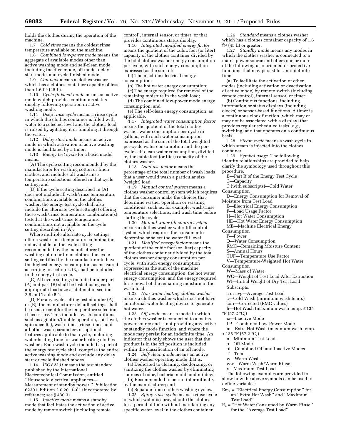holds the clothes during the operation of the machine.

1.7 *Cold rinse* means the coldest rinse temperature available on the machine.

1.8 *Combined low-power mode* means the aggregate of available modes other than active washing mode and self-clean mode, including inactive mode, off mode, delay start mode, and cycle finished mode.

1.9 *Compact* means a clothes washer which has a clothes container capacity of less than 1.6 ft3 (45 L).

1.10 *Cycle finished mode* means an active mode which provides continuous status display following operation in active washing mode.

1.11 *Deep rinse cycle* means a rinse cycle in which the clothes container is filled with water to a selected level and the clothes load is rinsed by agitating it or tumbling it through the water.

1.12 *Delay start mode* means an active mode in which activation of active washing mode is facilitated by a timer.

1.13 *Energy test cycle* for a basic model means:

(A) The cycle setting recommended by the manufacturer for washing cotton or linen clothes, and includes all wash/rinse temperature selections offered in that cycle setting, and

(B) If the cycle setting described in (A) does not include all wash/rinse temperature combinations available on the clothes washer, the energy test cycle shall also include the alternate cycle setting(s) offering these wash/rinse temperature combination(s), tested at the wash/rinse temperature combinations not available on the cycle setting described in (A).

Where multiple alternate cycle settings offer a wash/rinse temperature combination not available on the cycle setting recommended by the manufacturer for washing cotton or linen clothes, the cycle setting certified by the manufacturer to have the highest energy consumption, as measured according to section 2.13, shall be included in the energy test cycle.

(C) All cycle settings included under part (A) and part (B) shall be tested using each appropriate load size as defined in section 2.8 and Table 5.1.

(D) For any cycle setting tested under (A) or (B), the manufacturer default settings shall be used, except for the temperature selection, if necessary. This includes wash conditions such as agitation/tumble operation, soil level, spin speed(s), wash times, rinse times, and all other wash parameters or optional features applicable to that cycle, including water heating time for water heating clothes washers. Each wash cycle included as part of the energy test cycle shall comprise the entire active washing mode and exclude any delay start or cycle finished modes.

1.14 *IEC 62301* means the test standard published by the International Electrotechnical Commission, entitled ''Household electrical appliances— Measurement of standby power," Publication 62301, Edition 2.0 2011– $\overline{0}1$  (incorporated by reference; see § 430.3).

1.15 *Inactive mode* means a standby mode that facilitates the activation of active mode by remote switch (including remote

control), internal sensor, or timer, or that provides continuous status display.

1.16 *Integrated modified energy factor*  means the quotient of the cubic foot (or liter) capacity of the clothes container divided by the total clothes washer energy consumption per cycle, with such energy consumption expressed as the sum of:

(a) The machine electrical energy consumption;

(b) The hot water energy consumption;

(c) The energy required for removal of the remaining moisture in the wash load;

(d) The combined low-power mode energy consumption; and

(e) The self-clean energy consumption, as applicable.

1.17 *Integrated water consumption factor*  means the quotient of the total clothes washer water consumption per cycle in gallons, with such water consumption expressed as the sum of the total weighted per-cycle water consumption and the percycle self-clean water consumption, divided by the cubic foot (or liter) capacity of the clothes washer.

1.18 *Load use factor* means the percentage of the total number of wash loads that a user would wash a particular size (weight) load.

1.19 *Manual control system* means a clothes washer control system which requires that the consumer make the choices that determine washer operation or washing conditions, such as, for example, wash/rinse temperature selections, and wash time before starting the cycle.

1.20 *Manual water fill control system*  means a clothes washer water fill control system which requires the consumer to determine or select the water fill level.

1.21 *Modified energy factor* means the quotient of the cubic foot (or liter) capacity of the clothes container divided by the total clothes washer energy consumption per cycle, with such energy consumption expressed as the sum of the machine electrical energy consumption, the hot water energy consumption, and the energy required for removal of the remaining moisture in the wash load.

1.22 *Non-water-heating clothes washer*  means a clothes washer which does not have an internal water heating device to generate hot water.

1.23 *Off mode* means a mode in which the clothes washer is connected to a mains power source and is not providing any active or standby mode function, and where the mode may persist for an indefinite time. An indicator that only shows the user that the product is in the off position is included within the classification of an off mode.

1.24 *Self-clean mode* means an active clothes washer operating mode that is:

(a) Dedicated to cleaning, deodorizing, or sanitizing the clothes washer by eliminating sources of odor, bacteria, mold, and mildew;

(b) Recommended to be run intermittently by the manufacturer; and (c) Separate from clothes washing cycles.

1.25 *Spray rinse cycle* means a rinse cycle in which water is sprayed onto the clothes for a period of time without maintaining any specific water level in the clothes container.

1.26 *Standard* means a clothes washer which has a clothes container capacity of 1.6 ft<sup>3</sup> (45 L) or greater.

1.27 *Standby mode* means any modes in which the clothes washer is connected to a mains power source and offers one or more of the following user oriented or protective functions that may persist for an indefinite time:

(a) To facilitate the activation of other modes (including activation or deactivation of active mode) by remote switch (including remote control), internal sensor, or timer;

(b) Continuous functions, including information or status displays (including clocks) or sensor-based functions. A timer is a continuous clock function (which may or may not be associated with a display) that provides regular scheduled tasks (*e.g.,*  switching) and that operates on a continuous basis.

1.28 *Steam cycle* means a wash cycle in which steam is injected into the clothes container.

1.29 *Symbol usage.* The following identity relationships are provided to help clarify the symbology used throughout this procedure.

B—Part B of the Energy Test Cycle

C—Capacity

C (with subscripts)—Cold Water Consumption

D—Energy Consumption for Removal of Moisture from Test Load

E—Electrical Energy Consumption

F—Load Usage Factor

H—Hot Water Consumption

HE—Hot Water Energy Consumption

ME—Machine Electrical Energy

Consumption

P—Power

Q—Water Consumption

RMC—Remaining Moisture Content

S—Annual Hours

TUF—Temperature Use Factor

V—Temperature-Weighted Hot Water Consumption

W—Mass of Water

WC—Weight of Test Load After Extraction WI—Initial Weight of Dry Test Load

# Subscripts:

a or avg—Average Test Load

c—Cold Wash (minimum wash temp.)

corr—Corrected (RMC values)

h—Hot Wash (maximum wash temp. ≤ 135

 $\mathrm{^{\circ}F}$  (57.2  $\mathrm{^{\circ}C}))$ 

ia—Inactive Mode

LP—Combined Low-Power Mode

m—Extra Hot Wash (maximum wash temp.

 $> 135 °F (57.2 °C)$ n—Minimum Test Load

o—Off Mode

oi—Combined Off and Inactive Modes

T—Total

w—Warm Wash

ww—Warm Wash/Warm Rinse

x—Maximum Test Load

The following examples are provided to show how the above symbols can be used to define variables:

- $Em<sub>x</sub>$  = "Electrical Energy Consumption" for an ''Extra Hot Wash'' and ''Maximum Test Load''
- Ra = ''Hot Water Consumed by Warm Rinse'' for the ''Average Test Load''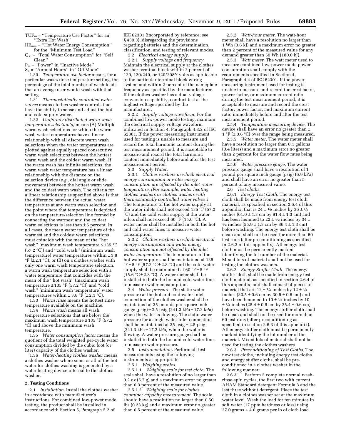$TUF_m = "Temperature Use Factor" for an$ ''Extra Hot Wash''

HEmin = ''Hot Water Energy Consumption'' for the ''Minimum Test Load''

Qsc = ''Total Water Consumption'' for ''Self Clean''

Pia = ''Power'' in ''Inactive Mode''

 $S_0 = "Annual Hours"$  in "Off Mode"

1.30 *Temperature use factor* means, for a particular wash/rinse temperature setting, the percentage of the total number of wash loads that an average user would wash with that setting.

1.31 *Thermostatically controlled water valves* means clothes washer controls that have the ability to sense and adjust the hot and cold supply water.

1.32 *Uniformly distributed warm wash temperature selection(s)* means (A) Multiple warm wash selections for which the warm wash water temperatures have a linear relationship with all discrete warm wash selections when the water temperatures are plotted against equally spaced consecutive warm wash selections between the hottest warm wash and the coldest warm wash. If the warm wash has infinite selections, the warm wash water temperature has a linear relationship with the distance on the selection device (*e.g.,* dial angle or slide movement) between the hottest warm wash and the coldest warm wash. The criteria for a linear relationship as specified above is that the difference between the actual water temperature at any warm wash selection and the point where that temperature is depicted on the temperature/selection line formed by connecting the warmest and the coldest warm selections is less than  $\pm 5$  percent. In all cases, the mean water temperature of the warmest and the coldest warm selections must coincide with the mean of the ''hot wash'' (maximum wash temperature ≤ 135 °F (57.2 °C)) and ''cold wash'' (minimum wash temperature) water temperatures within  $\pm 3.8$  ${}^{\circ}F$  ( $\pm$  2.1  ${}^{\circ}C$ ); or (B) on a clothes washer with only one warm wash temperature selection, a warm wash temperature selection with a water temperature that coincides with the mean of the ''hot wash'' (maximum wash temperature  $\leq$  135 °F (57.2 °C)) and "cold wash'' (minimum wash temperature) water temperatures within  $\pm$  3.8 °F ( $\pm$  2.1 °C).

1.33 *Warm rinse* means the hottest rinse temperature available on the machine.

1.34 *Warm wash* means all wash temperature selections that are below the maximum wash temperature ≤ 135 °F (57.2 °C) and above the minimum wash temperature.

1.35 *Water consumption factor* means the quotient of the total weighted per-cycle water consumption divided by the cubic foot (or liter) capacity of the clothes washer.

1.36 *Water-heating clothes washer* means a clothes washer where some or all of the hot water for clothes washing is generated by a water heating device internal to the clothes washer.

#### **2. Testing Conditions**

2.1 *Installation.* Install the clothes washer in accordance with manufacturer's instructions. For combined low-power mode testing, the product shall be installed in accordance with Section 5, Paragraph 5.2 of

IEC 62301 (incorporated by reference; see § 430.3), disregarding the provisions regarding batteries and the determination, classification, and testing of relevant modes.

2.2 *Electrical energy supply.* 

2.2.1 *Supply voltage and frequency.*  Maintain the electrical supply at the clothes washer terminal block within 2 percent of 120, 120/240, or 120/208Y volts as applicable to the particular terminal block wiring system and within 2 percent of the nameplate frequency as specified by the manufacturer. If the clothes washer has a dual voltage conversion capability, conduct test at the highest voltage specified by the manufacturer.

2.2.2 *Supply voltage waveform.* For the combined low-power mode testing, maintain the electrical supply voltage waveform indicated in Section 4, Paragraph 4.3.2 of IEC 62301. If the power measuring instrument used for testing is unable to measure and record the total harmonic content during the test measurement period, it is acceptable to measure and record the total harmonic content immediately before and after the test measurement period.

2.3 *Supply Water.* 

2.3.1 *Clothes washers in which electrical energy consumption or water energy consumption are affected by the inlet water temperature. (For example, water heating clothes washers or clothes washers with thermostatically controlled water valves.)*  The temperature of the hot water supply at the water inlets shall not exceed 135 °F (57.2 °C) and the cold water supply at the water inlets shall not exceed 60 °F (15.6 °C). A water meter shall be installed in both the hot and cold water lines to measure water consumption.

2.3.2 *Clothes washers in which electrical energy consumption and water energy consumption are not affected by the inlet water temperature.* The temperature of the hot water supply shall be maintained at 135  $\mathrm{PF} \pm 5 \mathrm{PF}$  (57.2  $\mathrm{C} \pm 2.8 \mathrm{C}$ ) and the cold water supply shall be maintained at 60 °F $\pm$ 5 °F ( $15.\overline{6}$  °C $\pm$ 2.8 °C). A water meter shall be installed in both the hot and cold water lines to measure water consumption.

2.4 *Water pressure.* The static water pressure at the hot and cold water inlet connection of the clothes washer shall be maintained at 35 pounds per square inch gauge (psig) ± 2.5 psig (241.3 kPa ± 17.2 kPa) when the water is flowing. The static water pressure for a single water inlet connection shall be maintained at 35 psig  $\pm$  2.5 psig (241.3 kPa $\pm$ 17.2 kPa) when the water is flowing. A water pressure gauge shall be installed in both the hot and cold water lines to measure water pressure.

2.5 *Instrumentation.* Perform all test measurements using the following instruments as appropriate:

2.5.1 *Weighing scales.* 

2.5.1.1 *Weighing scale for test cloth.* The scale shall have a resolution of no larger than 0.2 oz (5.7 g) and a maximum error no greater than 0.3 percent of the measured value.

2.5.1.2 *Weighing scale for clothes container capacity measurement.* The scale should have a resolution no larger than 0.50 lbs (0.23 kg) and a maximum error no greater than 0.5 percent of the measured value.

2.5.2 *Watt-hour meter.* The watt-hour meter shall have a resolution no larger than 1 Wh (3.6 kJ) and a maximum error no greater than 2 percent of the measured value for any demand greater than 50 Wh (180.0 kJ).

2.5.3 *Watt meter.* The watt meter used to measure combined low-power mode power consumption shall comply with the requirements specified in Section 4, Paragraph 4.4 of IEC 62301. If the power measuring instrument used for testing is unable to measure and record the crest factor, power factor, or maximum current ratio during the test measurement period, it is acceptable to measure and record the crest factor, power factor, and maximum current ratio immediately before and after the test measurement period.

2.5.4 *Temperature measuring device.* The device shall have an error no greater than ± 1 °F ( $\pm$  0.6 °C) over the range being measured.

2.5.5 *Water meter.* The water meter shall have a resolution no larger than 0.1 gallons (0.4 liters) and a maximum error no greater than 2 percent for the water flow rates being measured.

2.5.6 *Water pressure gauge.* The water pressure gauge shall have a resolution of 1 pound per square inch gauge (psig) (6.9 kPa) and shall have an error no greater than 5 percent of any measured value.

2.6 *Test cloths.* 

2.6.1 *Energy Test Cloth.* The energy test cloth shall be made from energy test cloth material, as specified in section 2.6.4 of this appendix, that is  $24 \pm \frac{1}{2}$  inches by  $36 \pm \frac{1}{2}$ inches  $(61.0 \pm 1.3 \text{ cm})$  by  $91.4 \pm 1.3 \text{ cm}$  and has been hemmed to  $22 \pm \frac{1}{2}$  inches by 34  $\pm$  $\frac{1}{2}$  inches (55.9 ± 1.3 cm by 86.4 ± 1.3 cm) before washing. The energy test cloth shall be clean and shall not be used for more than 60 test runs (after preconditioning as specified in 2.6.3 of this appendix). All energy test cloth must be permanently marked identifying the lot number of the material. Mixed lots of material shall not be used for testing the clothes washers.

2.6.2 *Energy Stuffer Cloth.* The energy stuffer cloth shall be made from energy test cloth material, as specified in section 2.6.4 of this appendix, and shall consist of pieces of material that are  $12 \pm \frac{1}{4}$  inches by  $12 \pm \frac{1}{4}$ inches  $(30.5 \pm 0.6 \text{ cm})$  and  $(30.5 \pm 0.6 \text{ cm})$  and have been hemmed to  $10 \pm \frac{1}{4}$  inches by 10  $± 1/4$  inches (25.4  $± 0.6$  cm by 25.4  $± 0.6$  cm) before washing. The energy stuffer cloth shall be clean and shall not be used for more than 60 test runs (after preconditioning as specified in section 2.6.3 of this appendix). All energy stuffer cloth must be permanently marked identifying the lot number of the material. Mixed lots of material shall not be used for testing the clothes washers.

2.6.3 *Preconditioning of Test Cloths.* The new test cloths, including energy test cloths and energy stuffer cloths, shall be preconditioned in a clothes washer in the following manner:

2.6.3.1 Perform 5 complete normal washrinse-spin cycles, the first two with current AHAM Standard detergent Formula 3 and the last three without detergent. Place the test cloth in a clothes washer set at the maximum water level. Wash the load for ten minutes in soft water (17 ppm hardness or less) using 27.0 grams  $+4.0$  grams per lb of cloth load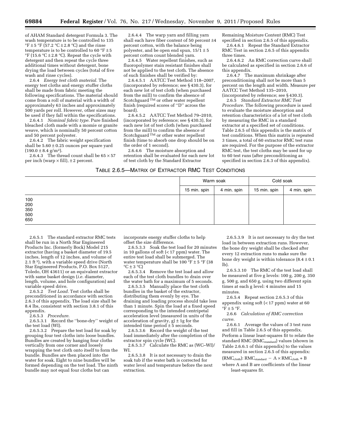**69884 Federal Register** / Vol. 76, No. 217 / Wednesday, November 9, 2011 / Proposed Rules

of AHAM Standard detergent Formula 3. The wash temperature is to be controlled to 135 °F  $\pm$  5 °F (57.2 °C  $\pm$  2.8 °C) and the rinse temperature is to be controlled to 60  $\degree$ F  $\pm$  5 °F (15.6 °C  $\pm$  2.8 °C). Repeat the cycle with detergent and then repeat the cycle three additional times without detergent, bone drying the load between cycles (total of five wash and rinse cycles).

2.6.4 *Energy test cloth material.* The energy test cloths and energy stuffer cloths shall be made from fabric meeting the following specifications. The material should come from a roll of material with a width of approximately 63 inches and approximately 500 yards per roll. However, other sizes may be used if they fall within the specifications.

2.6.4.1 *Nominal fabric type.* Pure finished bleached cloth made with a momie or granite weave, which is nominally 50 percent cotton and 50 percent polyester.

2.6.4.2 The fabric weight specification shall be  $5.60 \pm 0.25$  ounces per square yard  $(190.0 \pm 8.4 \text{ g/m}^2)$ .

2.6.4.3 The thread count shall be  $65 \times 57$ per inch (warp  $\times$  fill),  $\pm$  2 percent.

2.6.4.4 The warp yarn and filling yarn shall each have fiber content of 50 percent ±4 percent cotton, with the balance being polyester, and be open end spun,  $15/1 \pm 5$ percent cotton count blended yarn.

2.6.4.5 Water repellent finishes, such as fluoropolymer stain resistant finishes shall not be applied to the test cloth. The absence of such finishes shall be verified by:

2.6.4.5.1 AATCC Test Method 118–2007, (incorporated by reference; see § 430.3), for each new lot of test cloth (when purchased from the mill) to confirm the absence of Scotchguard  $^{\text{\tiny{\text{T}M}}}$  or other water repellent finish (required scores of ''D'' across the board).

2.6.4.5.2 AATCC Test Method 79–2010, (incorporated by reference; see § 430.3), for each new lot of test cloth (when purchased from the mill) to confirm the absence of Scotchguard <sup>TM</sup> or other water repellent finish (time to absorb one drop should be on the order of 1 second).

2.6.4.6 The moisture absorption and retention shall be evaluated for each new lot of test cloth by the Standard Extractor

Remaining Moisture Content (RMC) Test specified in section 2.6.5 of this appendix.

2.6.4.6.1 Repeat the Standard Extractor RMC Test in section 2.6.5 of this appendix three times.

2.6.4.6.2 An RMC correction curve shall be calculated as specified in section 2.6.6 of this appendix.

2.6.4.7 The maximum shrinkage after preconditioning shall not be more than 5 percent on the length and width. Measure per AATCC Test Method 135–2010, (incorporated by reference; see § 430.3).

2.6.5 *Standard Extractor RMC Test Procedure.* The following procedure is used to evaluate the moisture absorption and retention characteristics of a lot of test cloth by measuring the RMC in a standard extractor at a specified set of conditions. Table 2.6.5 of this appendix is the matrix of test conditions. When this matrix is repeated 3 times, a total of 60 extractor RMC test runs are required. For the purpose of the extractor RMC test, the test cloths may be used for up to 60 test runs (after preconditioning as specified in section 2.6.3 of this appendix).

# TABLE 2.6.5—MATRIX OF EXTRACTOR RMC TEST CONDITIONS

|                                 |              | Warm soak   |              | Cold soak   |  |
|---------------------------------|--------------|-------------|--------------|-------------|--|
|                                 | 15 min. spin | 4 min. spin | 15 min. spin | 4 min. spin |  |
| 100<br>200<br>350<br>500<br>650 |              |             |              |             |  |

2.6.5.1 The standard extractor RMC tests shall be run in a North Star Engineered Products Inc. (formerly Bock) Model 215 extractor (having a basket diameter of 19.5 inches, length of 12 inches, and volume of 2.1 ft 3), with a variable speed drive (North Star Engineered Products, P.O. Box 5127, Toledo, OH 43611) or an equivalent extractor with same basket design (*i.e.* diameter, length, volume, and hole configuration) and variable speed drive.

2.6.5.2 *Test Load.* Test cloths shall be preconditioned in accordance with section 2.6.3 of this appendix. The load size shall be 8.4 lbs, consistent with section 3.8.1 of this appendix.

2.6.5.3 *Procedure.* 

2.6.5.3.1 Record the ''bone-dry'' weight of the test load (WI).

2.6.5.3.2 Prepare the test load for soak by grouping four test cloths into loose bundles. Bundles are created by hanging four cloths vertically from one corner and loosely wrapping the test cloth onto itself to form the bundle. Bundles are then placed into the water for soak. Eight to nine bundles will be formed depending on the test load. The ninth bundle may not equal four cloths but can

incorporate energy stuffer cloths to help offset the size difference.

2.6.5.3.3 Soak the test load for 20 minutes in 10 gallons of soft (< 17 ppm) water. The entire test load shall be submerged. The water temperature shall be 100 °F  $\pm$  5 °F (38  $\mathrm{C} \pm 3 \mathrm{C}$ 

2.6.5.3.4 Remove the test load and allow each of the test cloth bundles to drain over the water bath for a maximum of 5 seconds.

2.6.5.3.5 Manually place the test cloth bundles in the basket of the extractor, distributing them evenly by eye. The draining and loading process should take less than 1 minute. Spin the load at a fixed speed corresponding to the intended centripetal acceleration level (measured in units of the acceleration of gravity,  $g$ )  $\pm$  1g for the intended time period ± 5 seconds.

2.6.5.3.6 Record the weight of the test load immediately after the completion of the extractor spin cycle (WC).

2.6.5.3.7 Calculate the RMC as (WC–WI)/ WI.

2.6.5.3.8 It is not necessary to drain the soak tub if the water bath is corrected for water level and temperature before the next extraction.

2.6.5.3.9 It is not necessary to dry the test load in between extraction runs. However, the bone dry weight shall be checked after every 12 extraction runs to make sure the bone dry weight is within tolerance  $(8.4 \pm 0.1)$ lb).

2.6.5.3.10 The RMC of the test load shall be measured at five g levels: 100 g, 200 g, 350 g, 500 g, and 650 g, using two different spin times at each g level: 4 minutes and 15 minutes.

2.6.5.4 Repeat section 2.6.5.3 of this appendix using soft (< 17 ppm) water at 60  $\mathrm{^{\circ}F}$  ± 5  $\mathrm{^{\circ}F}$ .

2.6.6 *Calculation of RMC correction curve.* 

2.6.6.1 Average the values of 3 test runs and fill in Table 2.6.5 of this appendix. Perform a linear least-squares fit to relate the standard RMC (RMC<sub>standard</sub>) values (shown in Table 2.6.6.1 of this appendix) to the values measured in section 2.6.5 of this appendix:

 $(RMC_{\text{cloth}}): RMC_{\text{standard}} - A \times RMC_{\text{cloth}} + B$ 

where A and B are coefficients of the linear least-squares fit.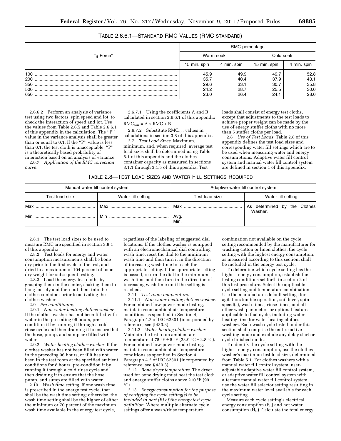|                          | RMC percentage               |                              |                              |                              |  |
|--------------------------|------------------------------|------------------------------|------------------------------|------------------------------|--|
| "g Force"                | Warm soak                    |                              | Cold soak                    |                              |  |
|                          | 15 min. spin                 | 4 min. spin                  | 15 min. spin                 | 4 min. spin                  |  |
| 100<br>200<br>350<br>500 | 45.9<br>35.7<br>29.6<br>24.2 | 49.9<br>40.4<br>33.1<br>28.7 | 49.7<br>37.9<br>30.7<br>25.5 | 52.8<br>43.1<br>35.8<br>30.0 |  |
| 650                      | 23.0                         | 26.4                         | 24.1                         | 28.0                         |  |

# TABLE 2.6.6.1—STANDARD RMC VALUES (RMC STANDARD)

2.6.6.2 Perform an analysis of variance test using two factors, spin speed and lot, to check the interaction of speed and lot. Use the values from Table 2.6.5 and Table 2.6.6.1 of this appendix in the calculation. The ''P'' value in the variance analysis shall be greater than or equal to 0.1. If the ''P'' value is less than 0.1, the test cloth is unacceptable. ''P'' is a theoretically based probability of

interaction based on an analysis of variance. 2.6.7 *Application of the RMC correction curve.* 

2.6.7.1 Using the coefficients A and B calculated in section 2.6.6.1 of this appendix:  $RMC_{corr} = A \times RMC + B$ 

2.6.7.2 Substitute  $\rm{RMC}_{\rm{corr}}$  values in calculations in section 3.8 of this appendix.

2.7 *Test Load Sizes.* Maximum, minimum, and, when required, average test load sizes shall be determined using Table 5.1 of this appendix and the clothes container capacity as measured in sections 3.1.1 through 3.1.5 of this appendix. Test

loads shall consist of energy test cloths, except that adjustments to the test loads to achieve proper weight can be made by the use of energy stuffer cloths with no more than 5 stuffer cloths per load.

2.8 *Use of Test Loads.* Table 2.8 of this appendix defines the test load sizes and corresponding water fill settings which are to be used when measuring water and energy consumptions. Adaptive water fill control system and manual water fill control system are defined in section 1 of this appendix:

|  | TABLE 2.8-TEST LOAD SIZES AND WATER FILL SETTINGS REQUIRED |
|--|------------------------------------------------------------|
|--|------------------------------------------------------------|

| Manual water fill control system |                    | Adaptive water fill control system |                                         |  |  |  |  |
|----------------------------------|--------------------|------------------------------------|-----------------------------------------|--|--|--|--|
| Test load size                   | Water fill setting | Test load size                     | Water fill setting                      |  |  |  |  |
| Max<br>Min                       |                    | Avg.                               | As determined by the Clothes<br>Washer. |  |  |  |  |
|                                  |                    | Min.                               |                                         |  |  |  |  |

2.8.1 The test load sizes to be used to measure RMC are specified in section 3.8.1 of this appendix.

2.8.2 Test loads for energy and water consumption measurements shall be bone dry prior to the first cycle of the test, and dried to a maximum of 104 percent of bone dry weight for subsequent testing.

2.8.3 Load the energy test cloths by grasping them in the center, shaking them to hang loosely and then put them into the clothes container prior to activating the clothes washer.

2.9 *Pre-conditioning.* 

2.9.1 *Non-water-heating clothes washer.*  If the clothes washer has not been filled with water in the preceding 96 hours, precondition it by running it through a cold rinse cycle and then draining it to ensure that the hose, pump, and sump are filled with water.

2.9.2 *Water-heating clothes washer.* If the clothes washer has not been filled with water in the preceding 96 hours, or if it has not been in the test room at the specified ambient conditions for 8 hours, pre-condition it by running it through a cold rinse cycle and then draining it to ensure that the hose, pump, and sump are filled with water.

2.10 *Wash time setting.* If one wash time is prescribed in the energy test cycle, that shall be the wash time setting; otherwise, the wash time setting shall be the higher of either the minimum or 70 percent of the maximum wash time available in the energy test cycle,

regardless of the labeling of suggested dial locations. If the clothes washer is equipped with an electromechanical dial controlling wash time, reset the dial to the minimum wash time and then turn it in the direction of increasing wash time to reach the appropriate setting. If the appropriate setting is passed, return the dial to the minimum wash time and then turn in the direction of increasing wash time until the setting is reached.

2.11 *Test room temperature.* 

2.11.1 *Non-water-heating clothes washer.*  For combined low-power mode testing, maintain room ambient air temperature conditions as specified in Section 4, Paragraph 4.2 of IEC 62301 (incorporated by reference; see § 430.3).

2.11.2 *Water-heating clothes washer.*  Maintain the test room ambient air temperature at 75 °F  $\pm$  5 °F (23.9 °C  $\pm$  2.8 °C). For combined low-power mode testing, maintain room ambient air temperature conditions as specified in Section 4, Paragraph 4.2 of IEC 62301 (incorporated by reference; see § 430.3).

2.12 *Bone dryer temperature.* The dryer used for bone drying must heat the test cloth and energy stuffer cloths above 210 °F (99  $^{\circ}$ C).

2.13 *Energy consumption for the purpose of certifying the cycle setting(s) to be included in part (B) of the energy test cycle definition.* Where multiple alternate cycle settings offer a wash/rinse temperature

combination not available on the cycle setting recommended by the manufacturer for washing cotton or linen clothes, the cycle setting with the highest energy consumption, as measured according to this section, shall be included in the energy test cycle.

To determine which cycle setting has the highest energy consumption, establish the testing conditions set forth in section 2 of this test procedure. Select the applicable cycle setting and temperature combination. Use the manufacturer default settings for agitation/tumble operation, soil level, spin speed(s), wash times, rinse times, and all other wash parameters or optional features applicable to that cycle, including water heating time for water heating clothes washers. Each wash cycle tested under this section shall comprise the entire active washing mode and exclude any delay start or cycle finished modes.

To identify the cycle setting with the highest energy consumption, use the clothes washer's maximum test load size, determined from Table 5.1. For clothes washers with a manual water fill control system, useradjustable adaptive water fill control system, or adaptive water fill control system with alternate manual water fill control system, use the water fill selector setting resulting in the maximum water level available for each cycle setting.

Measure each cycle setting's electrical energy consumption  $(E_B)$  and hot water consumption  $(\hat{H}_B)$ . Calculate the total energy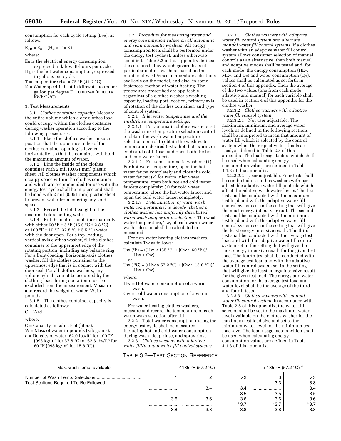consumption for each cycle setting  $(E_{TB})$ , as follows:

 $E_{TB} = E_B + (H_B \times T \times K)$ 

# where:

- $E_B$  is the electrical energy consumption, expressed in kilowatt-hours per cycle.
- $H_B$  is the hot water consumption, expressed
- in gallons per cycle. T = temperature rise = 75 °F (41.7 °C)
- K = Water specific heat in kilowatt-hours per gallon per degree F = 0.00240 (0.00114  $\text{kWh/L}^{\circ}$ °C)
- 3. Test Measurements

3.1 *Clothes container capacity.* Measure the entire volume which a dry clothes load could occupy within the clothes container during washer operation according to the following procedures:

3.1.1 Place the clothes washer in such a position that the uppermost edge of the clothes container opening is leveled horizontally, so that the container will hold the maximum amount of water.

3.1.2 Line the inside of the clothes container with 2 mil (0.051 mm) plastic sheet. All clothes washer components which occupy space within the clothes container and which are recommended for use with the energy test cycle shall be in place and shall be lined with 2 mil (0.051 mm) plastic sheet to prevent water from entering any void space.

3.1.3 Record the total weight of the machine before adding water.

3.1.4 Fill the clothes container manually with either 60 °F  $\pm$  5 °F (15.6 °C  $\pm$  2.8 °C) or  $100 \text{ °F} \pm 10 \text{ °F}$  (37.8  $\text{ °C} \pm 5.5 \text{ °C}$ ) water, with the door open. For a top-loading, vertical-axis clothes washer, fill the clothes container to the uppermost edge of the rotating portion, including any balance ring. For a front-loading, horizontal-axis clothes washer, fill the clothes container to the uppermost edge that is in contact with the door seal. For all clothes washers, any volume which cannot be occupied by the clothing load during operation must be excluded from the measurement. Measure and record the weight of water, W, in pounds.

3.1.5 The clothes container capacity is calculated as follows:

#### $C = W/d$

#### where:

- C = Capacity in cubic feet (liters).
- $W = M$ ass of water in pounds (kilograms).
- d = Density of water (62.0 lbs/ft<sup>3</sup> for 100 °F (993 kg/m3 for 37.8 °C) or 62.3 lbs/ft3 for 60 °F (998 kg/m3 for 15.6 °C)).

3.2 *Procedure for measuring water and energy consumption values on all automatic and semi-automatic washers.* All energy consumption tests shall be performed under the energy test cycle(s), unless otherwise specified. Table 3.2 of this appendix defines the sections below which govern tests of particular clothes washers, based on the number of wash/rinse temperature selections available on the model, and also, in some instances, method of water heating. The procedures prescribed are applicable regardless of a clothes washer's washing capacity, loading port location, primary axis of rotation of the clothes container, and type of control system.

3.2.1 *Inlet water temperature and the wash/rinse temperature settings.* 

3.2.1.1 For automatic clothes washers set the wash/rinse temperature selection control to obtain the wash water temperature selection control to obtain the wash water temperature desired (extra hot, hot, warm, or cold) and cold rinse, and open both the hot and cold water faucets.

3.2.1.2 For semi-automatic washers: (1) For hot water temperature, open the hot water faucet completely and close the cold water faucet; (2) for warm inlet water temperature, open both hot and cold water faucets completely; (3) for cold water temperature, close the hot water faucet and open the cold water faucet completely.

3.2.1.3 *Determination of warm wash water temperature(s) to decide whether a clothes washer has uniformly distributed warm wash temperature selections.* The wash water temperature, Tw, of each warm water wash selection shall be calculated or measured.

For non-water heating clothes washers, calculate Tw as follows:

- $Tw$  (°F) = ((Hw  $\times$  135 °F) + (Cw  $\times$  60 °F))/  $(Hw + Cw)$
- or
- Tw  $({\degree}C) = ((Hw \times 57.2 {\degree}C) + (Cw \times 15.6 {\degree}C))/$  $(Hw + Cw)$

#### where:

- Hw = Hot water consumption of a warm wash.
- Cw = Cold water consumption of a warm wash.

For water-heating clothes washers, measure and record the temperature of each warm wash selection after fill.

3.2.2 Total water consumption during the energy test cycle shall be measured, including hot and cold water consumption

during wash, deep rinse, and spray rinse. 3.2.3 *Clothes washers with adaptive* 

*water fill/manual water fill control systems* 

3.2.3.1 *Clothes washers with adaptive water fill control system and alternate manual water fill control systems.* If a clothes washer with an adaptive water fill control system allows consumer selection of manual controls as an alternative, then both manual and adaptive modes shall be tested and, for each mode, the energy consumption  $(HE_T)$ ,  $ME_T$ , and  $D_E$ ) and water consumption  $(Q_T)$ , values shall be calculated as set forth in section 4 of this appendix. Then the average of the two values (one from each mode, adaptive and manual) for each variable shall be used in section 4 of this appendix for the clothes washer.

3.2.3.2 *Clothes washers with adaptive water fill control system.* 

3.2.3.2.1 Not user adjustable. The maximum, minimum, and average water levels as defined in the following sections shall be interpreted to mean that amount of water fill which is selected by the control system when the respective test loads are used, as defined in Table 2.8 of this appendix. The load usage factors which shall be used when calculating energy consumption values are defined in Table 4.1.3 of this appendix.

3.2.3.2.2 User adjustable. Four tests shall be conducted on clothes washers with user adjustable adaptive water fill controls which affect the relative wash water levels. The first test shall be conducted with the maximum test load and with the adaptive water fill control system set in the setting that will give the most energy intensive result. The second test shall be conducted with the minimum test load and with the adaptive water fill control system set in the setting that will give the least energy intensive result. The third test shall be conducted with the average test load and with the adaptive water fill control system set in the setting that will give the most energy intensive result for the given test load. The fourth test shall be conducted with the average test load and with the adaptive water fill control system set in the setting that will give the least energy intensive result for the given test load. The energy and water consumption for the average test load and water level shall be the average of the third and fourth tests.

3.2.3.3 *Clothes washers with manual water fill control system.* In accordance with Table 2.8 of this appendix, the water fill selector shall be set to the maximum water level available on the clothes washer for the maximum test load size and set to the minimum water level for the minimum test load size. The load usage factors which shall be used when calculating energy consumption values are defined in Table 4.1.3 of this appendix.

# TABLE 3.2—TEST SECTION REFERENCE

| Max. wash temp. available             |     | > 135 °F (57.2 °C) **<br>≤135 °F (57.2 °C) |        |        |           |
|---------------------------------------|-----|--------------------------------------------|--------|--------|-----------|
| Test Sections Required To Be Followed |     |                                            |        | 3.3    | >3<br>3.3 |
|                                       |     | 3.4                                        | 3.4    |        | 3.4       |
|                                       |     |                                            | 3.5    | 3.5    | 3.5       |
|                                       | 3.6 | 3.6                                        | 3.6    | 3.6    | 3.6       |
|                                       |     |                                            | $*3.7$ | $*3.7$ | $*3.7$    |
|                                       |     |                                            | 3.8    | 3.8    | 3.8       |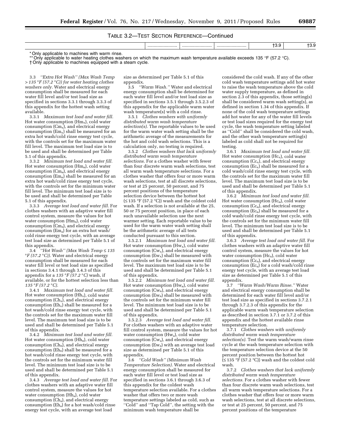# TABLE 3.2—TEST SECTION REFERENCE—Continued

| . |  | . טי |  |
|---|--|------|--|
|   |  |      |  |

\* Only applicable to machines with warm rinse.

\*\* Only applicable to water heating clothes washers on which the maximum wash temperature available exceeds 135 °F (57.2 °C).

† Only applicable to machines equipped with a steam cycle.

3.3 *''Extra Hot Wash'' (Max Wash Temp > 135* °*F (57.2* °*C)) for water heating clothes washers only.* Water and electrical energy consumption shall be measured for each water fill level and/or test load size as specified in sections 3.3.1 through 3.3.3 of this appendix for the hottest wash setting available.

3.3.1 *Maximum test load and water fill.*  Hot water consumption  $(Hm_x)$ , cold water consumption (Cm<sub>x</sub>), and electrical energy consumption  $(Em_x)$  shall be measured for an extra hot wash/cold rinse energy test cycle, with the controls set for the maximum water fill level. The maximum test load size is to be used and shall be determined per Table 5.1 of this appendix.

3.3.2 *Minimum test load and water fill.*  Hot water consumption  $(Hm_n)$ , cold water consumption  $(Cm_n)$ , and electrical energy consumption  $(Em_n)$  shall be measured for an extra hot wash/cold rinse energy test cycle, with the controls set for the minimum water fill level. The minimum test load size is to be used and shall be determined per Table 5.1 of this appendix.

3.3.3 *Average test load and water fill.* For clothes washers with an adaptive water fill control system, measure the values for hot water consumption (Hma), cold water consumption  $(Cm_a)$ , and electrical energy consumption  $(Em_a)$  for an extra hot wash/ cold rinse energy test cycle, with an average test load size as determined per Table 5.1 of this appendix.

3.4 *''Hot Wash'' (Max Wash Temp* ≤ *135*  °*F (57.2* °*C)).* Water and electrical energy consumption shall be measured for each water fill level or test load size as specified in sections 3.4.1 through 3.4.3 of this appendix for a *135* °*F (57.2* °*C)* wash, if available, or for the hottest selection less than *135* °*F (57.2* °*C).* 

3.4.1 *Maximum test load and water fill.*  Hot water consumption  $(Hh_x)$ , cold water consumption  $(Ch_x)$ , and electrical energy consumption  $(Eh<sub>x</sub>)$  shall be measured for a hot wash/cold rinse energy test cycle, with the controls set for the maximum water fill level. The maximum test load size is to be used and shall be determined per Table 5.1 of this appendix.

3.4.2 *Minimum test load and water fill.*  Hot water consumption (Hhn), cold water consumption  $(Ch_n)$ , and electrical energy consumption (Ehn) shall be measured for a hot wash/cold rinse energy test cycle, with the controls set for the minimum water fill level. The minimum test load size is to be used and shall be determined per Table 5.1 of this appendix.

3.4.3 *Average test load and water fill.* For clothes washers with an adaptive water fill control system, measure the values for hot water consumption (Hha), cold water consumption  $(Ch_a)$ , and electrical energy consumption (Eha) for a hot wash/cold rinse energy test cycle, with an average test load

size as determined per Table 5.1 of this appendix.

3.5 *''Warm Wash.''* Water and electrical energy consumption shall be determined for each water fill level and/or test load size as specified in sections 3.5.1 through 3.5.2.3 of this appendix for the applicable warm water wash temperature(s) with a cold rinse.

3.5.1 *Clothes washers with uniformly distributed warm wash temperature selection(s).* The reportable values to be used for the warm water wash setting shall be the arithmetic average of the measurements for the hot and cold wash selections. This is a calculation only, no testing is required.

3.5.2 *Clothes washers that lack uniformly distributed warm wash temperature selections.* For a clothes washer with fewer than four discrete warm wash selections, test all warm wash temperature selections. For a clothes washer that offers four or more warm wash selections, test at all discrete selections, or test at 25 percent, 50 percent, and 75 percent positions of the temperature selection device between the hottest hot  $(\leq 135 \text{ °F } (57.2 \text{ °C}))$  wash and the coldest cold wash. If a selection is not available at the 25, 50 or 75 percent position, in place of each such unavailable selection use the next warmer setting. Each reportable value to be used for the warm water wash setting shall be the arithmetic average of all tests conducted pursuant to this section.

3.5.2.1 *Maximum test load and water fill.*  Hot water consumption  $(Hw_x)$ , cold water consumption  $(Cw_x)$ , and electrical energy consumption (Ewx) shall be measured with the controls set for the maximum water fill level. The maximum test load size is to be used and shall be determined per Table 5.1 of this appendix.

3.5.2.2 *Minimum test load and water fill.*  Hot water consumption (Hw<sub>n</sub>), cold water consumption  $(Cw_n)$ , and electrical energy consumption (Ewn) shall be measured with the controls set for the minimum water fill level. The minimum test load size is to be used and shall be determined per Table 5.1 of this appendix.

3.5.2.3 *Average test load and water fill.*  For clothes washers with an adaptive water fill control system, measure the values for hot water consumption  $(Hw_a)$ , cold water consumption  $(Cw_a)$ , and electrical energy consumption (Ewa) with an average test load size as determined per Table 5.1 of this appendix.

3.6 *''Cold Wash'' (Minimum Wash Temperature Selection).* Water and electrical energy consumption shall be measured for each water fill level or test load size as specified in sections 3.6.1 through 3.6.3 of this appendix for the coldest wash temperature selection available. For a clothes washer that offers two or more wash temperature settings labeled as cold, such as ''Cold'' and ''Tap Cold'', the setting with the minimum wash temperature shall be

considered the cold wash. If any of the other cold wash temperature settings add hot water to raise the wash temperature above the cold water supply temperature, as defined in section 2.3 of this appendix, those setting(s) shall be considered warm wash setting(s), as defined in section 1.34 of this appendix. If none of the cold wash temperature settings add hot water for any of the water fill levels or test load sizes required for the energy test cycle, the wash temperature setting labeled as ''Cold'' shall be considered the cold wash, and the other wash temperature setting(s) labeled as cold shall not be required for testing.

3.6.1 *Maximum test load and water fill.*  Hot water consumption  $(Hc_x)$ , cold water consumption  $(Cc_x)$ , and electrical energy consumption  $(Ec_x)$  shall be measured for a cold wash/cold rinse energy test cycle, with the controls set for the maximum water fill level. The maximum test load size is to be used and shall be determined per Table 5.1 of this appendix.

3.6.2 *Minimum test load and water fill.*  Hot water consumption (Hc<sub>n</sub>), cold water consumption  $(Cc_n)$ , and electrical energy consumption  $(Ec_n)$  shall be measured for a cold wash/cold rinse energy test cycle, with the controls set for the minimum water fill level. The minimum test load size is to be used and shall be determined per Table 5.1 of this appendix.

3.6.3 *Average test load and water fill.* For clothes washers with an adaptive water fill control system, measure the values for hot water consumption (Hca), cold water consumption  $(Cc_a)$ , and electrical energy consumption (Eca) for a cold wash/cold rinse energy test cycle, with an average test load size as determined per Table 5.1 of this appendix.

3.7 *''Warm Wash/Warm Rinse.''* Water and electrical energy consumption shall be determined for each water fill level and/or test load size as specified in sections 3.7.2.1 through 3.7.2.3 of this appendix for the applicable warm wash temperature selection as described in section 3.7.1 or 3.7.2 of this appendix and the hottest available rinse temperature selection.

3.7.1 *Clothes washers with uniformly distributed warm wash temperature selection(s).* Test the warm wash/warm rinse cycle at the wash temperature selection with the temperature selection device at the 50 percent position between the hottest hot  $(S135 \text{ °F} (57.2 \text{ °C}))$  wash and the coldest cold wash.

3.7.2 *Clothes washers that lack uniformly distributed warm wash temperature selections.* For a clothes washer with fewer than four discrete warm wash selections, test all warm wash temperature selections. For a clothes washer that offers four or more warm wash selections, test at all discrete selections, or test at 25 percent, 50 percent, and 75 percent positions of the temperature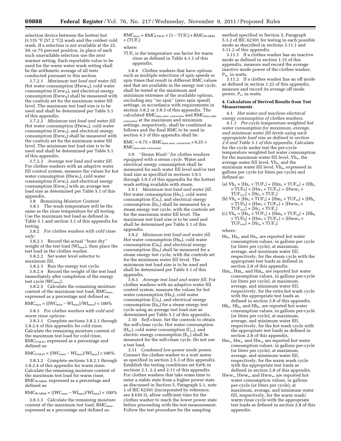selection device between the hottest hot ( $\leq$  135 °F (57.2 °C)) wash and the coldest cold wash. If a selection is not available at the 25, 50, or 75 percent position, in place of each such unavailable selection use the next warmer setting. Each reportable value to be used for the warm water wash setting shall be the arithmetic average of all tests conducted pursuant to this section.

3.7.2.1 *Maximum test load and water fill.*  Hot water consumption  $(Hww_X)$ , cold water consumption ( $\widetilde{\text{Cww}}_X$ ), and electrical energy  $\overline{\text{cosumption (Eww_x)}}$  shall be measured with the controls set for the maximum water fill level. The maximum test load size is to be used and shall be determined per Table 5.1 of this appendix.

3.7.2.2 *Minimum test load and water fill.*  Hot water consumption (Hwwn), cold water consumption ( $\widetilde{\text{Cww}}_n$ ), and electrical energy consumption (Ewwn) shall be measured with the controls set for the minimum water fill level. The minimum test load size is to be used and shall be determined per Table 5.1 of this appendix.

3.7.2.3 *Average test load and water fill.*  For clothes washers with an adaptive water fill control system, measure the values for hot water consumption (Hwwa), cold water consumption  $(Cww_a)$ , and electrical energy consumption (Ewwa) with an average test load size as determined per Table 5.1 of this appendix.

3.8 *Remaining Moisture Content:* 

3.8.1 The wash temperature will be the same as the rinse temperature for all testing. Use the maximum test load as defined in Table 5.1 and section 3.1 of this appendix for testing.

3.8.2 *For clothes washers with cold rinse only:* 

3.8.2.1 Record the actual ''bone dry'' weight of the test load (WImax), then place the test load in the clothes washer.

- 3.8.2.2 Set water level selector to
- maximum fill.

3.8.2.3 Run the energy test cycle.

3.8.2.4 Record the weight of the test load immediately after completion of the energy test cycle (WC<sub>max</sub>).

3.8.2.5 Calculate the remaining moisture content of the maximum test load,  $\overline{\text{RMC}_{\text{max}}}$ , expressed as a percentage and defined as:

 $RMC_{\text{max}} = ((WC_{\text{max}} - WI_{\text{max}})/WI_{\text{max}}) \times 100\%$ 

3.8.3 *For clothes washers with cold and warm rinse options:* 

3.8.3.1 Complete sections 3.8.2.1 through 3.8.2.4 of this appendix for cold rinse. Calculate the remaining moisture content of the maximum test load for cold rinse, RMC<sub>COLD</sub>, expressed as a percentage and defined as:

 $RMC_{\text{COLD}} = ((WC_{\text{max}}-WI_{\text{max}})/WI_{\text{max}}) \times 100\%$ 

3.8.3.2 Complete sections 3.8.2.1 through 3.8.2.4 of this appendix for warm rinse. Calculate the remaining moisture content of the maximum test load for warm rinse, RMC<sub>WARM</sub>, expressed as a percentage and defined as:

 $RMC_{WARM} = ((WC_{max} - WI_{max})/WI_{max}) \times 100\%$ 

3.8.3.3 Calculate the remaining moisture content of the maximum test load, RMC<sub>max</sub>, expressed as a percentage and defined as:

 $RMC_{max} = RMC_{COLD} \times (1 - TUF_r) + RMC_{WARM}$  $\times$  (TUF<sub>r</sub>)

#### where:

 $\mbox{{\rm TUF}}_r$  is the temperature use factor for warm rinse as defined in Table 4.1.1 of this appendix.

3.8.4 Clothes washers that have options such as multiple selections of spin speeds or spin times that result in different RMC values and that are available in the energy test cycle, shall be tested at the maximum and minimum extremes of the available options, excluding any ''no spin'' (zero spin speed) settings, in accordance with requirements in section 3.8.2 or 3.8.3 of this appendix. The  $\operatorname{calculated}$  RMC $\max, \max$  extraction and  $\operatorname{RMC}_{\max, \min}$ extraction at the maximum and minimum settings, respectively, shall be combined as follows and the final RMC to be used in section 4.3 of this appendix shall be:

 $\text{RMC} = 0.75 \times \text{RMC}_{\text{max}, \text{max extraction}} + 0.25 \times$ RMCmax,min extraction

3.9 *''Steam Wash'' for clothes washers equipped with a steam cycle.* Water and electrical energy consumption shall be measured for each water fill level and/or test load size as specified in sections 3.9.1 through 3.9.3 of this appendix for the hottest wash setting available with steam.

3.9.1 *Maximum test load and water fill.*  Hot water consumption  $(Hs<sub>x</sub>)$ , cold water consumption  $(Cs_x)$ , and electrical energy consumption  $(Es_x)$  shall be measured for a steam energy test cycle, with the controls set for the maximum water fill level. The maximum test load size is to be used and shall be determined per Table 5.1 of this appendix.

3.9.2 *Minimum test load and water fill.*  Hot water consumption (Hs<sub>n</sub>), cold water consumption  $(Cs_n)$ , and electrical energy consumption  $(Es_n)$  shall be measured for a steam energy test cycle, with the controls set for the minimum water fill level. The minimum test load size is to be used and shall be determined per Table 5.1 of this appendix.

3.9.3 *Average test load and water fill.* For clothes washers with an adaptive water fill control system, measure the values for hot water consumption (Hsa), cold water consumption  $(Cs_a)$ , and electrical energy consumption  $(Es_a)$  for a steam energy test cycle using an average test load size as determined per Table 5.1 of this appendix.

3.10 *Self-clean.* Set the controls to obtain the self-clean cycle. Hot water consumption ( $H_{sc}$ ), cold water consumption ( $C_{sc}$ ), and electric energy consumption  $(E_{sc})$  shall be measured for the self-clean cycle. Do not use a test load.

3.11 *Combined low-power mode power.*  Connect the clothes washer to a watt meter as specified in section 2.5.3 of this appendix. Establish the testing conditions set forth in sections 2.1, 2.2 and 2.11 of this appendix. For clothes washers that take some time to enter a stable state from a higher power state as discussed in Section 5, Paragraph 5.1, note 1 of IEC 62301 (incorporated by reference; see § 430.3), allow sufficient time for the clothes washer to reach the lower power state before proceeding with the test measurement. Follow the test procedure for the sampling

method specified in Section 5, Paragraph 5.3.2 of IEC 62301 for testing in each possible mode as described in sections 3.11.1 and 3.11.2 of this appendix.

3.11.1 If a clothes washer has an inactive mode as defined in section 1.15 of this appendix, measure and record the average inactive mode power of the clothes washer, Pia, in watts.

3.11.2 If a clothes washer has an off mode as defined in section 1.23 of this appendix, measure and record its average off mode power, Po, in watts.

#### **4. Calculation of Derived Results from Test Measurements**

4.1 *Hot water and machine electrical energy consumption of clothes washers.* 

4.1.1 *Per-cycle temperature-weighted hot water consumption for maximum, average, and minimum water fill levels using each appropriate load size as defined in section 2.8 and Table 5.1 of this appendix.* Calculate for the cycle under test the per-cycle temperature weighted hot water consumption for the maximum water fill level,  $V_{\text{h}_x}$ , the average water fill level, Vha, and the minimum water fill level, Vhn, expressed in gallons per cycle (or liters per cycle) and defined as:

- (a)  $Vh_x = [Hs_x \times TUF_s] + [Hm_x \times TUF_m] + [Hh_x]$  $\times$  TUF<sub>h</sub>] + [Hw<sub>x</sub>  $\times$  TUF<sub>w</sub>] + [Hww<sub>x</sub>  $\times$  $TUF_{ww}$  +  $[HC_x \times TUF_c]$
- (b)  $Vh_a = [Hs_a \times TUF_s] + [Hm_a \times TUF_m] + [Hh_a$  $\times$  TUF<sub>h</sub>] + [Hw<sub>a</sub>  $\times$  TUF<sub>w</sub>] + [Hww<sub>a</sub>  $\times$  $TUF_{ww}]+[Hc_a \times TUF_c]$
- (c)  $Vh_n = [Hs_n \times TUF_s] + [Hm_n \times TUF_m] + [Hh_n$  $\times \text{TUF}_h$ ] + [Hw<sub>n</sub>  $\times$  TUF<sub>w</sub>] + [Hww<sub>n</sub>  $\times$  $TUF_{ww}]+[Hc_n\times TUF_c]$

where:

- Hsx, Hsa, and Hsn, are reported hot water consumption values, in gallons per cycle (or liters per cycle), at maximum, average, and minimum water fill, respectively, for the steam cycle with the appropriate test loads as defined in section 2.8 of this appendix.
- Hm<sub>x</sub>, Hm<sub>a</sub>, and Hm<sub>n</sub>, are reported hot water consumption values, in gallons per-cycle (or liters per cycle), at maximum, average, and minimum water fill, respectively, for the extra hot wash cycle with the appropriate test loads as defined in section 2.8 of this appendix.
- Hhx, Hha, and Hhn, are reported hot water consumption values, in gallons per-cycle (or liters per cycle), at maximum, average, and minimum water fill, respectively, for the hot wash cycle with the appropriate test loads as defined in section 2.8 of this appendix.
- $Hw_x$ ,  $Hw_a$ , and  $Hw_n$ , are reported hot water consumption values, in gallons per-cycle (or liters per cycle), at maximum, average, and minimum water fill, respectively, for the warm wash cycle with the appropriate test loads as defined in section 2.8 of this appendix.
- Hwwx, Hwwa, and Hwwn, are reported hot water consumption values, in gallons per-cycle (or liters per cycle), at maximum, average, and minimum water fill, respectively, for the warm wash/ warm rinse cycle with the appropriate test loads as defined in section 2.8 of this appendix.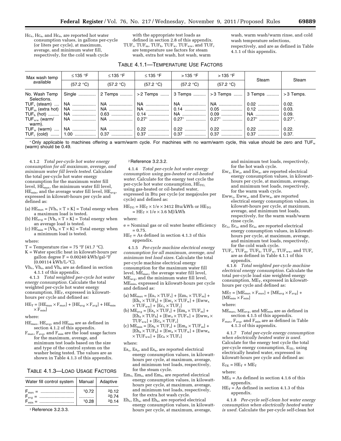$Hc_{x}$ ,  $Hc_{a}$ , and  $Hc_{n}$ , are reported hot water consumption values, in gallons per-cycle (or liters per cycle), at maximum, average, and minimum water fill, respectively, for the cold wash cycle

with the appropriate test loads as defined in section 2.8 of this appendix.  $TUF_s$ ,  $TUF_m$ ,  $TUF_h$ ,  $TUF_w$ ,  $TUF_{ww}$ , and  $TUF_c$ are temperature use factors for steam wash, extra hot wash, hot wash, warm

wash, warm wash/warm rinse, and cold wash temperature selections, respectively, and are as defined in Table 4.1.1 of this appendix.

# TABLE 4.1.1—TEMPERATURE USE FACTORS

| Max wash temp<br>available                                                                                | ≤135 °F   | ≤135 °F   | ≤135 °F   | $>135$ °F                                                           | $>135$ °F | Steam  | Steam      |
|-----------------------------------------------------------------------------------------------------------|-----------|-----------|-----------|---------------------------------------------------------------------|-----------|--------|------------|
|                                                                                                           | (57.2 °C) | (57.2 °C) | (57.2 °C) | (57.2 °C)                                                           | (57.2 °C) |        |            |
| No. Wash Temp<br>Selections.                                                                              |           |           |           | Single  2 Temps  > 2 Temps  3 Temps  > 3 Temps  3 Temps  > 3 Temps. |           |        |            |
|                                                                                                           |           |           |           |                                                                     |           |        | 0.02.      |
|                                                                                                           |           |           |           |                                                                     |           |        | 0.03.      |
| TUF <sub>b</sub> (hot) ………   NA ………………   0.63 ………………   0.14 ………………   NA ………………   0.09 ………………   NA ………………… |           |           |           |                                                                     |           |        | 0.09.      |
| warm).                                                                                                    |           |           |           |                                                                     |           |        | $0.27^*$ . |
|                                                                                                           |           |           |           |                                                                     |           | $0.22$ | 0.22.      |
| TUF <sub>c</sub> (cold) …….   1.00 ……………….   0.37 ……………   0.37 ……………   0.37 ……………   0.37 ………………           |           |           |           |                                                                     |           |        | 0.37.      |

\*Only applicable to machines offering a warm/warm cycle. For machines with no warm/warm cycle, this value should be zero and TUF<sub>w</sub> (warm) should be 0.49.

4.1.2 *Total per-cycle hot water energy consumption for all maximum, average, and minimum water fill levels tested.* Calculate the total per-cycle hot water energy consumption for the maximum water fill level, HEmax, the minimum water fill level,  $HE_{min}$ , and the average water fill level,  $HE_{avg}$ , expressed in kilowatt-hours per cycle and defined as:

- (a)  $HE_{max} = [Vh_x \times T \times K] = Total energy when$ a maximum load is tested.
- (b)  $HE_{avg} = [Vh_a \times T \times K] = \text{Total energy when}$ an average load is tested.
- (c)  $HE_{min} = [\overrightarrow{V}h_n \times T \times K] = \text{Total energy when}$ a minimum load is tested.

where:

- T = Temperature rise =  $75 \text{ }^{\circ}$ F (41.7  $\text{ }^{\circ}$ C).
- K = Water specific heat in kilowatt-hours per gallon degree  $F = 0.00240$  kWh/gal- $\overline{F}$ (0.00114 kWh/L-°C).
- $V_{\text{h}_x}$ ,  $V_{\text{h}_a}$ , and  $V_{\text{h}_n}$  are as defined in section 4.1.1 of this appendix.

4.1.3 *Total weighted per-cycle hot water energy consumption.* Calculate the total weighted per-cycle hot water energy consumption, HET, expressed in kilowatthours per cycle and defined as:

 $\text{HE}_{\text{T}} = [\text{HE}_{\text{max}} \times \text{F}_{\text{max}}] + [\text{HE}_{\text{avg}} \times \text{F}_{\text{avg}}] + \text{HE}_{\text{min}}$  $\times$  F<sub>min</sub>]

where:

- HEmax, HEavg, and HEmin are as defined in section 4.1.2 of this appendix.
- Fmax, Favg, and Fmin are the load usage factors for the maximum, average, and minimum test loads based on the size and type of the control system on the washer being tested. The values are as shown in Table 4.1.3 of this appendix.

TABLE 4.1.3—LOAD USAGE FACTORS

| Water fill control system | Manual         | Adaptive                |
|---------------------------|----------------|-------------------------|
|                           | 10.72<br>10.28 | 20.12<br>20.74<br>20.14 |

1 Reference 3.2.3.3.

#### 2 Reference 3.2.3.2.

4.1.4 *Total per-cycle hot water energy consumption using gas-heated or oil-heated water.* Calculate for the energy test cycle the per-cycle hot water consumption,  $HE_{TG}$ , using gas-heated or oil-heated water, expressed in Btu per cycle (or megajoules per cycle) and defined as:

 $HE_{TG} = HE_T \times 1/e \times 3412$  Btu/kWh or  $HE_{TG}$  $= HE_T \times 1/e \times 3.6$  MJ/kWh

where:

- e = Nominal gas or oil water heater efficiency  $= 0.75.$
- $HE_T = As defined in section 4.1.3 of this$ appendix.

4.1.5 *Per-cycle machine electrical energy consumption for all maximum, average, and minimum test load sizes.* Calculate the total per-cycle machine electrical energy consumption for the maximum water fill level, MEmax, the average water fill level, MEavg, and the minimum water fill level, MEmin, expressed in kilowatt-hours per cycle and defined as:

- (a)  $ME_{max} = [Es_x \times TUF_s] + [Em_x \times TUF_m] +$  $[Eh_x \times TUF_h] + [Ew_x \times TUF_w] + [Eww_x]$  $\times \text{TUF}_{ww}$ ] + [Ec<sub>x</sub>  $\times \text{TUF}_c$ ]
- (b)  $ME_{avg} = [Es_a \times TUF_s] + [Em_a \times TUF_m] +$  $[Eh_a \times TUF_h] + [Ew_a \times TUF_w] + [Eww_a \times$  $TUF_{ww}]+[Ec_a \times TUF_c]$
- (c)  $ME_{min} = [Es_n \times TUF_s] + [Em_n \times TUF_m] +$  $[Eh_n \times TUF_h] + [Ew_n \times TUF_w] + [Eww_n]$  $\times \text{TUF}_{ww}$ ] + [Ec<sub>n</sub>  $\times \text{TUF}_{c}$ ]

where:

- $Es<sub>x</sub>, Es<sub>a</sub>,$  and  $Es<sub>n</sub>$ , are reported electrical energy consumption values, in kilowatthours per cycle, at maximum, average, and minimum test loads, respectively, for the steam cycle.
- $Em<sub>x</sub>$ ,  $Em<sub>a</sub>$ , and  $Em<sub>n</sub>$ , are reported electrical energy consumption values, in kilowatthours per cycle, at maximum, average, and minimum test loads, respectively, for the extra hot wash cycle.
- Ehx, Eha, and Ehn, are reported electrical energy consumption values, in kilowatthours per cycle, at maximum, average,

and minimum test loads, respectively, for the hot wash cycle.

- $Ew_x$ ,  $Ew_a$ , and  $Ew_n$ , are reported electrical energy consumption values, in kilowatthours per cycle, at maximum, average, and minimum test loads, respectively, for the warm wash cycle.
- Ewwx, Ewwa, and Ewwn, are reported electrical energy consumption values, in kilowatt-hours per cycle, at maximum, average, and minimum test loads, respectively, for the warm wash/warm rinse cycle.
- Ecx, Eca, and Ecn, are reported electrical energy consumption values, in kilowatthours per cycle, at maximum, average, and minimum test loads, respectively, for the cold wash cycle.
- TUF<sub>s</sub>, TUF<sub>m</sub>, TUF<sub>h</sub>, TUF<sub>w</sub>, TUF<sub>ww</sub>, and TUF<sub>c</sub> are as defined in Table 4.1.1 of this appendix.

4.1.6 *Total weighted per-cycle machine electrical energy consumption.* Calculate the total per-cycle load size weighted energy  $consumption, ME<sub>T</sub>, expressed in kilowatt$ hours per cycle and defined as:

 $ME_T = [ME_{max} \times F_{max}] + [ME_{avg} \times F_{avg}] +$  $[ME_{min} \times F_{min}]$ 

where:

- $ME<sub>max</sub>$ ,  $ME<sub>avg</sub>$ , and  $ME<sub>min</sub>$  are as defined in section 4.1.5 of this appendix.
- Fmax, Favg, and Fmin are as defined in Table 4.1.3 of this appendix.

4.1.7 *Total per-cycle energy consumption when electrically heated water is used.*  Calculate for the energy test cycle the total per-cycle energy consumption,  $E_{TE}$ , using electrically heated water, expressed in kilowatt-hours per cycle and defined as:

 $E_{TE} = HE_T + ME_T$ 

where:

- $ME_T = As defined in section 4.1.6 of this$ appendix.
- $HE_T = As defined in section 4.1.3 of this$ appendix.

4.1.8 *Per-cycle self-clean hot water energy consumption when electrically heated water is used.* Calculate the per-cycle self-clean hot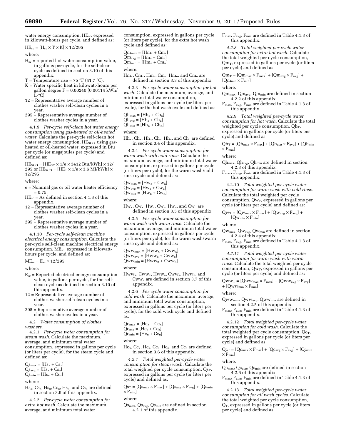water energy consumption, HEsc, expressed in kilowatt-hours per cycle, and defined as:

 $HE_{sc} = [H_{sc} \times T \times K] \times 12/295$ 

where:

- $H_{sc}$  = reported hot water consumption value, in gallons per-cycle, for the self-clean cycle as defined in section 3.10 of this appendix.
- T = Temperature rise = 75 °F (41.7 °C).
- K = Water specific heat in kilowatt-hours per gallon degree F = 0.00240 (0.00114 kWh/  $L^{\circ}C$ ).
- 12 = Representative average number of clothes washer self-clean cycles in a year.
- 295 = Representative average number of clothes washer cycles in a year.

4.1.9 *Per-cycle self-clean hot water energy consumption using gas-heated or oil-heated water.* Calculate the per-cycle self-clean hot water energy consumption, HE<sub>SCG</sub>, using gasheated or oil-heated water, expressed in Btu per cycle (or megajoules per cycle) and defined as:

 $HE_{SCG} = [HE_{SC} \times 1/e \times 3412 \text{ Btu/kWh}] \times 12/$ 295 or  $\text{HE}_{\text{SCG}} = [\text{HE}_{\text{T}} \times 1/\text{e} \times 3.6 \text{ MJ/kWh}] \times$ 12/295

where:

- e = Nominal gas or oil water heater efficiency  $= 0.75$
- $HE_{sc}$  = As defined in section 4.1.8 of this appendix.
- $12$  = Representative average number of clothes washer self-clean cycles in a year.
- 295 = Representative average number of clothes washer cycles in a year.

4.1.10 *Per-cycle self-clean machine electrical energy consumption.* Calculate the per-cycle self-clean machine electrical energy consumption, MEsc, expressed in kilowatthours per cycle, and defined as:

 $ME_{sc} = E_{sc} \times 12/295$ 

where:

- $E_{sc}$  = Reported electrical energy consumption value, in gallons per-cycle, for the selfclean cycle as defined in section 3.10 of this appendix.
- 12 = Representative average number of clothes washer self-clean cycles in a year.
- 295 = Representative average number of clothes washer cycles in a year.

4.2 *Water consumption of clothes washers.* 

4.2.1 *Per-cycle water consumption for steam wash.* Calculate the maximum, average, and minimum total water consumption, expressed in gallons per cycle (or liters per cycle), for the steam cycle and defined as:

 $Qs_{\text{max}} = [Hs_x + Cs_x]$ 

 $\mathrm{Qs}_{\mathrm{avg}} = [\mathrm{Hs}_{\mathrm{a}} + \mathrm{Cs}_{\mathrm{a}}]$  $Qs_{\min} = [Hs_n + Cs_n]$ 

where:

 $Hs_x$ ,  $Cs_x$ ,  $Hs_a$ ,  $Cs_a$ ,  $Hs_n$ , and  $Cs_n$  are defined in section 3.9 of this appendix.

4.2.2 *Per-cycle water consumption for extra hot wash.* Calculate the maximum, average, and minimum total water

consumption, expressed in gallons per cycle (or liters per cycle), for the extra hot wash cycle and defined as:

 $Qm_{max} = [Hm_x + Cm_x]$  $Qm_{\mathrm{avg}}=[Hm_{\mathrm{a}}+Cm_{\mathrm{a}}]$  $Qm_{min} = [Hm_n + Cm_n]$ 

where:

 $Hm_x$ ,  $Cm_x$ ,  $Hm_a$ ,  $Cm_a$ ,  $Hm_n$ , and  $Cm_n$  are defined in section 3.3 of this appendix.

4.2.3 *Per-cycle water consumption for hot wash.* Calculate the maximum, average, and minimum total water consumption, expressed in gallons per cycle (or liters per cycle), for the hot wash cycle and defined as:

 $Qh_{\text{max}} = [Hh_x + Ch_x]$  $Qh_{avg} = [Hh_a + Ch_a]$ 

 $Qh_{min} = [Hh_n + Ch_n]$ 

where:

 $Hh_x$ , Ch<sub>x</sub>, Hh<sub>a</sub>, Ch<sub>a</sub>, Hh<sub>n</sub>, and Ch<sub>n</sub> are defined in section 3.4 of this appendix.

4.2.4 *Per-cycle water consumption for warm wash with cold rinse.* Calculate the maximum, average, and minimum total water consumption, expressed in gallons per cycle (or liters per cycle), for the warm wash/cold rinse cycle and defined as:

 $Qw_{max} = [Hw_x + Cw_x]$  $Qw_{avg} = [Hw_a + Cw_a]$ 

 $Qw_{min} = [Hw_n + Cw_n]$ 

where:

 $Hw_x$ ,  $Cw_x$ ,  $Hw_a$ ,  $Cw_a$ ,  $Hw_n$ , and  $Cw_n$  are defined in section 3.5 of this appendix.

4.2.5 *Per-cycle water consumption for warm wash with warm rinse.* Calculate the maximum, average, and minimum total water consumption, expressed in gallons per cycle (or liters per cycle), for the warm wash/warm rinse cycle and defined as:

 $Qww_{max} = [Hww_x + Cww_x]$  $Qww_{avg} = [Hww_a + Cww_a]$  $Qww_{min} = [Hww_n + Cww_n]$ 

where:

Hwwx, Cwwx, Hwwa, Cwwa, Hwwn, and Cwwn are defined in section 3.7 of this appendix.

4.2.6 *Per-cycle water consumption for cold wash.* Calculate the maximum, average, and minimum total water consumption, expressed in gallons per cycle (or liters per cycle), for the cold wash cycle and defined as:

 $Qc_{\text{max}} = [Hc_x + Cc_x]$ 

 $Qc_{avg} = [Hc_a + Cc_a]$  $Qc_{\min} = [Hc_n + Cc_n]$ 

where:

 $\rm{Hc_x},$   $\rm{Cc_x},$   $\rm{Hc_a},$   $\rm{Cc_a},$   $\rm{Hc_n},$  and  $\rm{Cc_n}$  are defined in section 3.6 of this appendix.

*4.2.7 Total weighted per-cycle water consumption for steam wash.* Calculate the total weighted per cycle consumption,  $Qs_T$ , expressed in gallons per cycle (or liters per cycle) and defined as:

 $Qs_T = [Qs_{max} \times F_{max}] + [Qs_{avg} \times F_{avg}] + [Qs_{min}]$  $\times F_{min}$ 

where:

 $\mathrm{Qs}_{\mathrm{max}}$ ,  $\mathrm{Qs}_{\mathrm{avg}}$ ,  $\mathrm{Qs}_{\mathrm{min}}$  are defined in section 4.2.1 of this appendix.

Fmax, Favg, Fmin are defined in Table 4.1.3 of this appendix.

*4.2.8 Total weighted per-cycle water consumption for extra hot wash.* Calculate the total weighted per cycle consumption,  $Qm<sub>T</sub>$ , expressed in gallons per cycle (or liters per cycle) and defined as:

$$
\begin{array}{l} Qm_T = [Qm_{\rm max} \times F_{\rm max}] + [Qm_{\rm avg} \times F_{\rm avg}] + \\ [Qm_{\rm min} \times F_{\rm min}] \end{array}
$$

where:

- $Qm<sub>max</sub>, Qm<sub>avg</sub>, Qm<sub>min</sub>$  are defined in section 4.2.2 of this appendix.
- Fmax, Favg, Fmin are defined in Table 4.1.3 of this appendix.

4.2.9 *Total weighted per-cycle water consumption for hot wash.* Calculate the total weighted per cycle consumption,  $Qh_T$ , expressed in gallons per cycle (or liters per cycle) and defined as:

$$
\begin{array}{l}Qh_T = [Qh_{\max}\times F_{\max}] + [Qh_{\mathrm{avg}}\times F_{\mathrm{avg}}] + [Qh_{\min}\\ \times F_{\min}] \end{array}
$$

where:

- $Qh_{\rm max},$   $Qh_{\rm avg},$   $Qh_{\rm min}$  are defined in section 4.2.3 of this appendix.
- $F_{\text{max}}$ ,  $F_{\text{avg}}$ ,  $F_{\text{min}}$  are defined in Table 4.1.3 of this appendix.

4.2.10 *Total weighted per-cycle water consumption for warm wash with cold rinse.*  Calculate the total weighted per cycle consumption,  $Qw_T$ , expressed in gallons per cycle (or liters per cycle) and defined as:

$$
\begin{aligned} \text{Qw}_\text{T} &= [ \text{Qw}_\text{max} \times \text{F}_\text{max} ] + [ \text{Qw}_\text{avg} \times \text{F}_\text{avg} ] + \\ & [ \text{Qw}_\text{min} \times \text{F}_\text{min} ] \end{aligned}
$$

where:

- $\mathbf{Qw}_{\text{max}}$ ,  $\mathbf{Qw}_{\text{avg}}$ ,  $\mathbf{Qw}_{\text{min}}$  are defined in section 4.2.4 of this appendix.
- $\rm F_{max},$   $\rm F_{avg},$   $\rm F_{min}$  are defined in Table 4.1.3 of this appendix.

*4.2.11 Total weighted per-cycle water consumption for warm wash with warm rinse.* Calculate the total weighted per cycle consumption, Qw<sub>T</sub>, expressed in gallons per cycle (or liters per cycle) and defined as:

 $\text{Qww}_\text{T} = [\text{Qww}_\text{max} \times \text{F}_\text{max}] + [\text{Qww}_\text{avg} \times \text{F}_\text{avg}]$ +  $[Qww_{min} \times F_{min}]$ 

where:

- Qwwmax, Qwwavg, Qwwmin are defined in section 4.2.5 of this appendix.
- $F_{\text{max}}$ ,  $F_{\text{avg}}$ ,  $F_{\text{min}}$  are defined in Table 4.1.3 of this appendix.

4.2.12 *Total weighted per-cycle water consumption for cold wash.* Calculate the total weighted per cycle consumption,  $Qc_T$ , expressed in gallons per cycle (or liters per cycle) and defined as:

$$
Qc_T = [Qc_{max} \times F_{max}] + [Qc_{avg} \times F_{avg}] + [Qc_{min}
$$

$$
\times F_{min}]
$$

where:

- $\operatorname{Qc}_{\max}, \operatorname{Qc}_{\arg}, \operatorname{Qc}_{\min}$  are defined in section 4.2.6 of this appendix.
- Fmax, Favg, Fmin are defined in Table 4.1.3 of this appendix.

4.2.13 *Total weighted per-cycle water consumption for all wash cycles.* Calculate the total weighted per cycle consumption,  $Q_T$ , expressed in gallons per cycle (or liters per cycle) and defined as: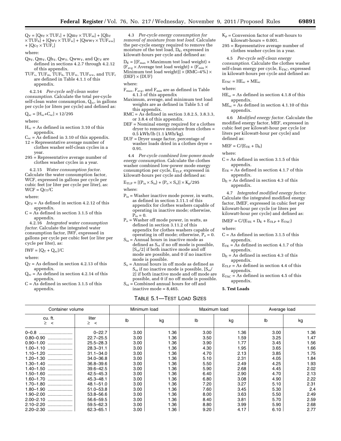$Q_T = [Qs_T \times TUF_s] + [Qm_T \times TUF_m] + [Qh_T]$  $\times TUF_h] + [Qw_T \times TUF_w] + [Qww_T \times TUF_{ww}]$ +  $[Qc_T \times TUF_c]$ 

#### where:

- $Qs_T$ ,  $Qm_T$ ,  $Qh_T$ ,  $Qw_T$ ,  $Qww_T$ , and  $Qc_T$  are defined in sections 4.2.7 through 4.2.12 of this appendix.
- TUF<sub>s</sub>, TUF<sub>m</sub>, TUF<sub>h</sub>, TUF<sub>w</sub>, TUF<sub>ww</sub>, and TUF<sub>c</sub> are defined in Table 4.1.1 of this appendix.

4.2.14 *Per-cycle self-clean water consumption.* Calculate the total per-cycle self-clean water consumption,  $Q_{sc}$ , in gallons per cycle (or liters per cycle) and defined as:

 $Q_{\rm sc} = [H_{\rm sc} + C_{\rm sc}] \times 12/295$ 

#### where:

- $H_{sc}$  = As defined in section 3.10 of this appendix.
- $C_{\text{sc}} = \overrightarrow{As}$  defined in 3.10 of this appendix. 12 = Representative average number of

clothes washer self-clean cycles in a year.

295 = Representative average number of clothes washer cycles in a year.

4.2.15 *Water consumption factor.*  Calculate the water consumption factor, WCF, expressed in gallons per cycle per cubic feet (or liter per cycle per liter), as:  $WCF = Qc_T/C$ 

#### where:

 $Qc_T$  = As defined in section 4.2.12 of this appendix.

C = As defined in section 3.1.5 of this appendix.

4.2.16 *Integrated water consumption factor.* Calculate the integrated water consumption factor, IWF, expressed in gallons per cycle per cubic feet (or liter per cycle per liter), as:

 $IWF = [Q_T + Q_{sc}] / C$ 

where:

- $Q_T$  = As defined in section 4.2.13 of this appendix.
- $Q_{\rm sc} = \overline{As}$  defined in section 4.2.14 of this appendix.
- $C = As$  defined in section 3.1.5 of this appendix.

4.3 *Per-cycle energy consumption for removal of moisture from test load.* Calculate the per-cycle energy required to remove the moisture of the test load,  $D<sub>E</sub>$ , expressed in kilowatt-hours per cycle and defined as:

 $D_E = [(F_{max} \times Maximum \text{ test load weight}) +$  $(F_{avg} \times Average$  test load weight) +  $(F_{min} \times$ Minimum test load weight)]  $\times$  (RMC–4%)  $\times$  $(DEF) \times (DUF)$ 

where:

- $F_{\text{max}}$ ,  $F_{\text{avg}}$ , and  $F_{\text{min}}$  are as defined in Table 4.1.3 of this appendix
- Maximum, average, and minimum test load weights are as defined in Table 5.1 of this appendix.
- RMC = As defined in section 3.8.2.5, 3.8.3.3, or 3.8.4 of this appendix.
- DEF = Nominal energy required for a clothes dryer to remove moisture from clothes = 0.5 kWh/lb (1.1 kWh/kg).
- DUF = Dryer usage factor, percentage of washer loads dried in a clothes dryer = 0.91.

4.4 *Per-cycle combined low-power mode energy consumption.* Calculate the clothes washer combined low-power mode energy consumption per cycle,  $E<sub>TLP</sub>$ , expressed in kilowatt-hours per cycle and defined as:

 $E_{\text{TLP}} = [(P_{ia} \times S_{ia}) + (P_o \times S_o)] \times K_p / 295$ where:

- $P_{ia}$  = Washer inactive mode power, in watts, as defined in section 3.11.1 of this appendix for clothes washers capable of operating in inactive mode; otherwise,  $P_{ia} = 0.$
- $P<sub>o</sub>$  = Washer off mode power, in watts, as defined in section 3.11.2 of this appendix for clothes washers capable of operating in off mode; otherwise,  $P_0 = 0$ .
- $S_{ia}$  = Annual hours in inactive mode as defined as  $S_{oi}$  if no off mode is possible,  $[S_{oi}/2]$  if both inactive mode and off mode are possible, and 0 if no inactive mode is possible.
- $S<sub>o</sub>$  = Annual hours in off mode as defined as  $S_{oi}$  if no inactive mode is possible,  $[S_{oi}/]$ 2] if both inactive mode and off mode are possible, and 0 if no off mode is possible.
- $S_{oi} =$  Combined annual hours for off and inactive mode = 8,465.

#### TABLE 5.1—TEST LOAD SIZES

- $K_p$  = Conversion factor of watt-hours to kilowatt-hours = 0.001.
- 295 = Representative average number of clothes washer cycles in a year.

4.5 *Per-cycle self-clean energy consumption.* Calculate the clothes washer self-clean energy per cycle, E<sub>TSC</sub>, expressed in kilowatt-hours per cycle and defined as:

 $E_{TSC} = HE_{sc} + ME_{sc}$ 

where:

- $HE_{sc}$  = As defined in section 4.1.8 of this appendix.
- $ME<sub>sc</sub> = As defined in section 4.1.10 of this$ appendix.

4.6 *Modified energy factor.* Calculate the modified energy factor, MEF, expressed in cubic feet per kilowatt-hour per cycle (or liters per kilowatt-hour per cycle) and defined as:

 $\text{MEF} = \text{C}/(\text{E}_{\text{TE}} + \text{D}_{\text{E}})$ 

#### where:

- $C = As defined in section 3.1.5 of this$ appendix.
- $E_{TE}$  = As defined in section 4.1.7 of this appendix.
- $D<sub>E</sub> = \overline{As}$  defined in section 4.3 of this appendix.

4.7 *Integrated modified energy factor.*  Calculate the integrated modified energy factor, IMEF, expressed in cubic feet per kilowatt-hour per cycle (or liters per kilowatt-hour per cycle) and defined as:

 $IMEF = C/(E_{TE} + D_E + E_{TLP} + E_{TSC})$ 

#### where:

- C = As defined in section 3.1.5 of this appendix.
- $E_{TE}$  = As defined in section 4.1.7 of this appendix.
- $D<sub>E</sub>$  = As defined in section 4.3 of this appendix.
- $E_{\text{TLP}} = As$  defined in section 4.4 of this appendix.
- $E_{TSC}$  = As defined in section 4.5 of this appendix.

#### **5. Test Loads**

Container volume **Minimum load** Maximum load **Maximum load** Average load cu. ft. ≥ < liter  $\ge$   $\lt$  lb kg lb kg lb kg lb kg 0–0.8 ........................... 0–22.7 3.00 1.36 3.00 1.36 3.00 1.36 0.80–0.90 .................... 22.7–25.5 3.00 1.36 3.50 1.59 3.25 1.47 0.90–1.00 .................... 25.5–28.3 3.00 1.36 3.90 1.77 3.45 1.56  $\begin{array}{|c|c|c|c|c|c|c|c|} \hline 1.00–1.10 & \ldots & \ldots & \ldots & \ldots & \ 1.10–1.20 & \ldots & \ldots & \ldots & \ldots & \ldots & \mathbf{31.1-34.0} & \mathbf{3.00} & \mathbf{3.05} & \mathbf{3.36} \ \hline \end{array}$  $1.10-1.20$  ...................... 31.1–34.0 3.00 3.00 1.36 4.70 2.13 3.85 1.75 3.85 1.75 3.85 1.75 3.85 1.75  $\begin{array}{cccccccccc} 1.20–1.30 & \ldots & \ldots & \ldots & \ldots & \vdots & 34.0–36.8 & & & 3.00 & & & 1.36 & & & 5.10 & & & 2.31 & & 4.05 & & & 1.84 \ 1.30–1.40 & \ldots & \ldots & \ldots & \ldots & & 36.8–39.6 & & & 3.00 & & & 1.36 & & & 5.50 & & & 2.49 & & & 4.25 & & & 1.93 \end{array}$ 1.30–1.40 .....................  $1.40-1.50$  ............................ 39.6–42.5 3.00 3.00  $1.36$  3.00  $2.68$   $4.45$   $4.70$   $4.70$   $4.70$ 1.50–1.60 .................... 42.5–45.3 3.00 1.36 6.40 2.90 4.70 2.13 1.60–1.70 .................... 45.3–48.1 3.00 1.36 6.80 3.08 4.90 2.22 1.70–1.80 .................... 1.80–1.90 .................... 51.0–53.8 3.00 1.36 7.60 3.45 5.30 2.4 1.90–2.00 .................... 53.8–56.6 3.00 1.36 8.00 3.63 5.50 2.49  $2.00-2.10$  ...................... | 56.6–59.5 | 3.00 | 1.36 8.40 3.81 5.70 | 2.59  $2.10\text{--}2.20$  ....................... | 59.5–62.3 | 3.00 | 1.36 | 8.80 | 3.99 | 5.90 | 2.68 2.20–2.30 .................... 62.3–65.1 3.00 1.36 9.20 4.17 6.10 2.77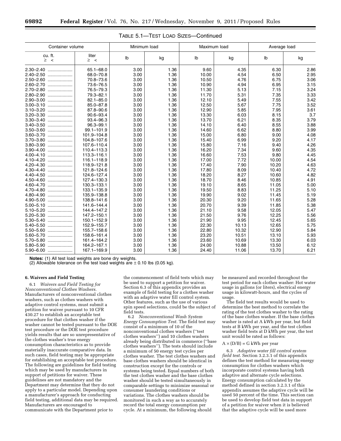|                     | Container volume  |      | Minimum load |       | Maximum load | Average load |      |  |
|---------------------|-------------------|------|--------------|-------|--------------|--------------|------|--|
| cu. ft.<br>$\geq$ < | liter<br>$\geq$ < | Ib   | kg           | Ib    | kg           | Ib           | kg   |  |
| $2.30 - 2.40$       | $65.1 - 68.0$     | 3.00 | 1.36         | 9.60  | 4.35         | 6.30         | 2.86 |  |
| $2.40 - 2.50$       | 68.0-70.8         | 3.00 | 1.36         | 10.00 | 4.54         | 6.50         | 2.95 |  |
| $2.50 - 2.60$       | 70.8-73.6         | 3.00 | 1.36         | 10.50 | 4.76         | 6.75         | 3.06 |  |
| 2.60-2.70           | 73.6-76.5         | 3.00 | 1.36         | 10.90 | 4.94         | 6.95         | 3.15 |  |
| $2.70 - 2.80$       | 76.5-79.3         | 3.00 | 1.36         | 11.30 | 5.13         | 7.15         | 3.24 |  |
| 2.80-2.90           | $79.3 - 82.1$     | 3.00 | 1.36         | 11.70 | 5.31         | 7.35         | 3.33 |  |
| $2.90 - 3.00$       | $82.1 - 85.0$     | 3.00 | 1.36         | 12.10 | 5.49         | 7.55         | 3.42 |  |
| $3.00 - 3.10$       | 85.0-87.8         | 3.00 | 1.36         | 12.50 | 5.67         | 7.75         | 3.52 |  |
| $3.10 - 3.20$       | 87.8-90.6         | 3.00 | 1.36         | 12.90 | 5.85         | 7.95         | 3.61 |  |
| $3.20 - 3.30$       | $90.6 - 93.4$     | 3.00 | 1.36         | 13.30 | 6.03         | 8.15         | 3.7  |  |
| $3.30 - 3.40$       | 93.4-96.3         | 3.00 | 1.36         | 13.70 | 6.21         | 8.35         | 3.79 |  |
| $3.40 - 3.50$       | $96.3 - 99.1$     | 3.00 | 1.36         | 14.10 | 6.40         | 8.55         | 3.88 |  |
| $3.50 - 3.60$       | $99.1 - 101.9$    | 3.00 | 1.36         | 14.60 | 6.62         | 8.80         | 3.99 |  |
| $3.60 - 3.70$       | 101.9-104.8       | 3.00 | 1.36         | 15.00 | 6.80         | 9.00         | 4.08 |  |
| $3.70 - 3.80$       | 104.8-107.6       | 3.00 | 1.36         | 15.40 | 6.99         | 9.20         | 4.17 |  |
| $3.80 - 3.90$       | 107.6-110.4       | 3.00 | 1.36         | 15.80 | 7.16         | 9.40         | 4.26 |  |
| $3.90 - 4.00$       | 110.4-113.3       | 3.00 | 1.36         | 16.20 | 7.34         | 9.60         | 4.35 |  |
| $4.00 - 4.10$       | 113.3-116.1       | 3.00 | 1.36         | 16.60 | 7.53         | 9.80         | 4.45 |  |
|                     | 116.1-118.9       | 3.00 | 1.36         | 17.00 | 7.72         | 10.00        | 4.54 |  |
| 4.20-4.30           | 118.9-121.8       | 3.00 | 1.36         | 17.40 | 7.90         | 10.20        | 4.63 |  |
| 4.30–4.40           | 121.8-124.6       | 3.00 | 1.36         | 17.80 | 8.09         | 10.40        | 4.72 |  |
| 4.40-4.50           | 124.6-127.4       | 3.00 | 1.36         | 18.20 | 8.27         | 10.60        | 4.82 |  |
| 4.50-4.60           | 127.4-130.3       | 3.00 | 1.36         | 18.70 | 8.46         | 10.85        | 4.91 |  |
| 4.60-4.70           | 130.3-133.1       | 3.00 | 1.36         | 19.10 | 8.65         | 11.05        | 5.00 |  |
| 4.70-4.80           | 133.1-135.9       | 3.00 | 1.36         | 19.50 | 8.83         | 11.25        | 5.10 |  |
| 4.80-4.90           | 135.9-138.8       | 3.00 | 1.36         | 19.90 | 9.02         | 11.45        | 5.19 |  |
| $4.90 - 5.00$<br>.  | 138.8-141.6       | 3.00 | 1.36         | 20.30 | 9.20         | 11.65        | 5.28 |  |
| $5.00 - 5.10$       | 141.6-144.4       | 3.00 | 1.36         | 20.70 | 9.39         | 11.85        | 5.38 |  |
| 5.10-5.20           | 144.4-147.2       | 3.00 | 1.36         | 21.10 | 9.58         | 12.05        | 5.47 |  |
| 5.20 - 5.30         | 147.2-150.1       | 3.00 | 1.36         | 21.50 | 9.76         | 12.25        | 5.56 |  |
| $5.30 - 5.40$<br>.  | 150.1-152.9       | 3.00 | 1.36         | 21.90 | 9.95         | 12.45        | 5.65 |  |
| 5.40-5.50           | 152.9-155.7       | 3.00 | 1.36         | 22.30 | 10.13        | 12.65        | 5.75 |  |
| 5.50-5.60           | 155.7-158.6       | 3.00 | 1.36         | 22.80 | 10.32        | 12.90        | 5.84 |  |
| $5.60 - 5.70$       | 158.6-161.4       | 3.00 | 1.36         | 23.20 | 10.51        | 13.10        | 5.93 |  |
| $5.70 - 5.80$       | 161.4-164.2       | 3.00 | 1.36         | 23.60 | 10.69        | 13.30        | 6.03 |  |
| $5.80 - 5.90$<br>.  | 164.2-167.1       | 3.00 | 1.36         | 24.00 | 10.88        | 13.50        | 6.12 |  |
| $5.90 - 6.00$       | 167.1-169.9       | 3.00 | 1.36         | 24.40 | 11.06        | 13.70        | 6.21 |  |

**Notes:** (1) All test load weights are bone dry weights.

(2) Allowable tolerance on the test load weights are  $\pm$  0.10 lbs (0.05 kg).

# **6. Waivers and Field Testing**

6.1 *Waivers and Field Testing for Nonconventional Clothes Washers.*  Manufacturers of nonconventional clothes washers, such as clothes washers with adaptive control systems, must submit a petition for waiver pursuant to 10 CFR 430.27 to establish an acceptable test procedure for that clothes washer if the washer cannot be tested pursuant to the DOE test procedure or the DOE test procedure yields results that are so unrepresentative of the clothes washer's true energy consumption characteristics as to provide materially inaccurate comparative data. In such cases, field testing may be appropriate for establishing an acceptable test procedure. The following are guidelines for field testing which may be used by manufacturers in support of petitions for waiver. These guidelines are not mandatory and the Department may determine that they do not apply to a particular model. Depending upon a manufacturer's approach for conducting field testing, additional data may be required. Manufacturers are encouraged to communicate with the Department prior to

the commencement of field tests which may be used to support a petition for waiver. Section 6.3 of this appendix provides an example of field testing for a clothes washer with an adaptive water fill control system. Other features, such as the use of various spin speed selections, could be the subject of field tests.

6.2 *Nonconventional Wash System Energy Consumption Test.* The field test may consist of a minimum of 10 of the nonconventional clothes washers (''test clothes washers'') and 10 clothes washers already being distributed in commerce (''base clothes washers''). The tests should include a minimum of 50 energy test cycles per clothes washer. The test clothes washers and base clothes washers should be identical in construction except for the controls or systems being tested. Equal numbers of both the test clothes washer and the base clothes washer should be tested simultaneously in comparable settings to minimize seasonal or consumer laundering conditions or variations. The clothes washers should be monitored in such a way as to accurately record the total energy consumption per cycle. At a minimum, the following should

be measured and recorded throughout the test period for each clothes washer: Hot water usage in gallons (or liters), electrical energy usage in kilowatt-hours, and the cycles of usage.

The field test results would be used to determine the best method to correlate the rating of the test clothes washer to the rating of the base clothes washer. If the base clothes washer is rated at A kWh per year, but field tests at B kWh per year, and the test clothes washer field tests at D kWh per year, the test unit would be rated as follows:

#### $A \times (D/B) = G$  kWh per year

6.3 *Adaptive water fill control system field test.* Section 3.2.3.1 of this appendix defines the test method for measuring energy consumption for clothes washers which incorporate control systems having both adaptive and alternate cycle selections. Energy consumption calculated by the method defined in section 3.2.3.1 of this appendix assumes the adaptive cycle will be used 50 percent of the time. This section can be used to develop field test data in support of a petition for waiver when it is believed that the adaptive cycle will be used more